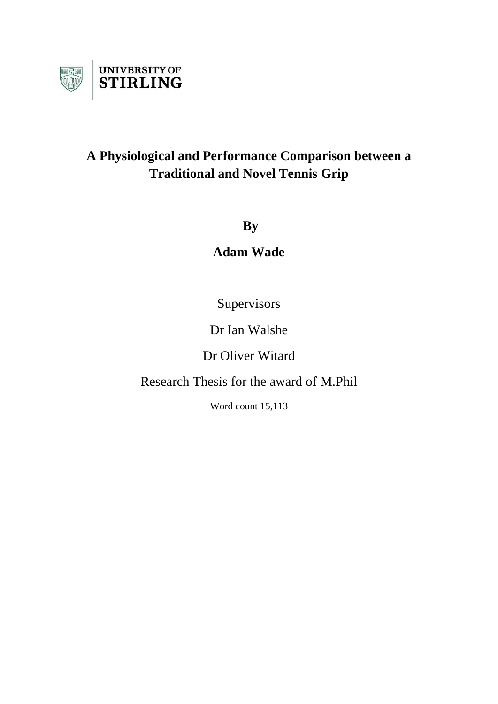

# **A Physiological and Performance Comparison between a Traditional and Novel Tennis Grip**

**By**

**Adam Wade** 

**Supervisors** 

Dr Ian Walshe

Dr Oliver Witard

Research Thesis for the award of M.Phil

Word count 15,113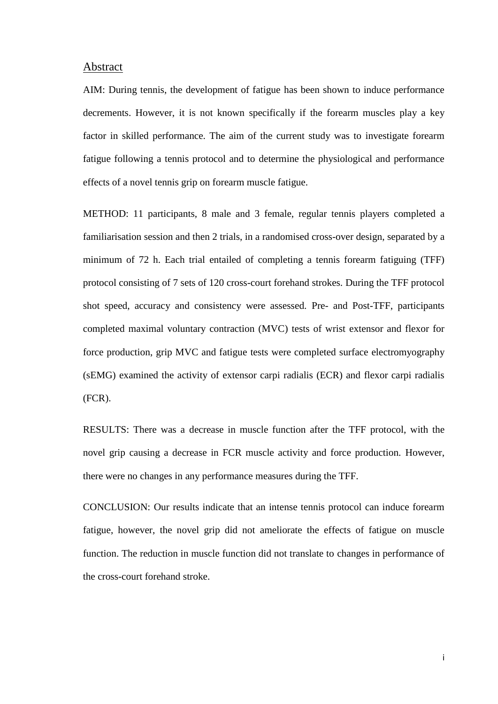#### Abstract

AIM: During tennis, the development of fatigue has been shown to induce performance decrements. However, it is not known specifically if the forearm muscles play a key factor in skilled performance. The aim of the current study was to investigate forearm fatigue following a tennis protocol and to determine the physiological and performance effects of a novel tennis grip on forearm muscle fatigue.

METHOD: 11 participants, 8 male and 3 female, regular tennis players completed a familiarisation session and then 2 trials, in a randomised cross-over design, separated by a minimum of 72 h. Each trial entailed of completing a tennis forearm fatiguing (TFF) protocol consisting of 7 sets of 120 cross-court forehand strokes. During the TFF protocol shot speed, accuracy and consistency were assessed. Pre- and Post-TFF, participants completed maximal voluntary contraction (MVC) tests of wrist extensor and flexor for force production, grip MVC and fatigue tests were completed surface electromyography (sEMG) examined the activity of extensor carpi radialis (ECR) and flexor carpi radialis (FCR).

RESULTS: There was a decrease in muscle function after the TFF protocol, with the novel grip causing a decrease in FCR muscle activity and force production. However, there were no changes in any performance measures during the TFF.

CONCLUSION: Our results indicate that an intense tennis protocol can induce forearm fatigue, however, the novel grip did not ameliorate the effects of fatigue on muscle function. The reduction in muscle function did not translate to changes in performance of the cross-court forehand stroke.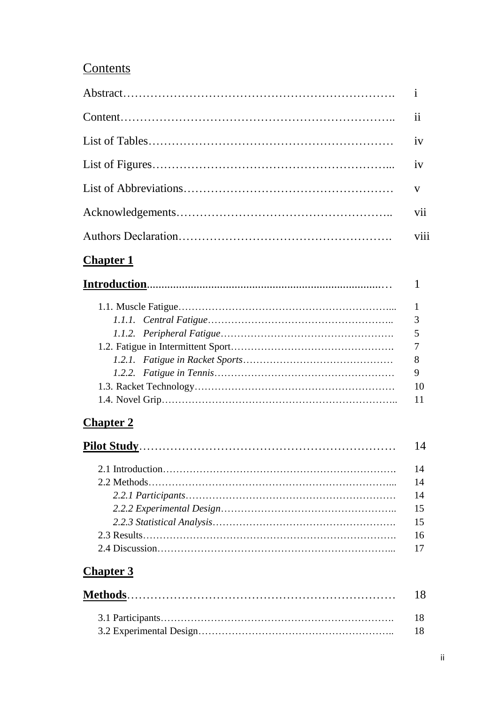# **Contents**

# **Chapter 1**

| 8  |
|----|
| 9  |
| 10 |
|    |
|    |

# **Chapter 2**

| 14 |
|----|
| 14 |
| 14 |
| 14 |
| 15 |
| 15 |
| 16 |
|    |

# **Chapter 3**

| -18 |
|-----|
| 18  |
| -18 |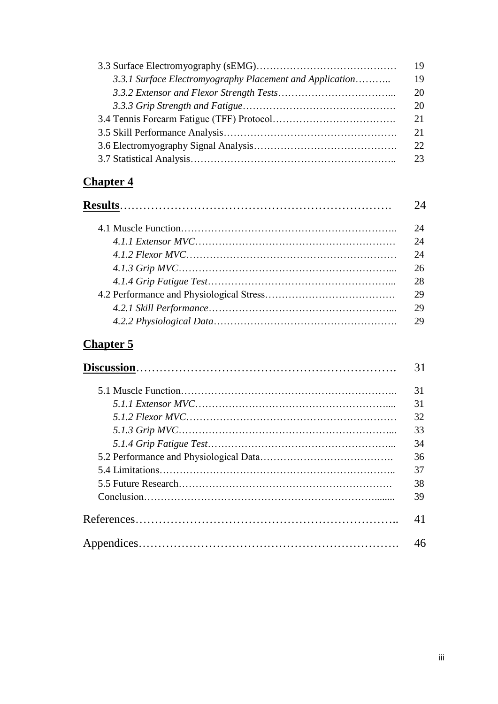|                                                          | 19 |
|----------------------------------------------------------|----|
| 3.3.1 Surface Electromyography Placement and Application | 19 |
|                                                          | 20 |
|                                                          | 20 |
|                                                          | 21 |
|                                                          | 21 |
|                                                          | 22 |
|                                                          | 23 |

# **Chapter 4**

| $2\Delta$ |
|-----------|
| 24        |
| 24        |
| 24        |
| 26        |
| 28        |
| 29        |
| 29        |
| 29        |
|           |

# **Chapter 5**

| 31 |
|----|
| 31 |
| 31 |
| 32 |
| 33 |
| 34 |
| 36 |
| 37 |
| 38 |
| 39 |
| 41 |
| 46 |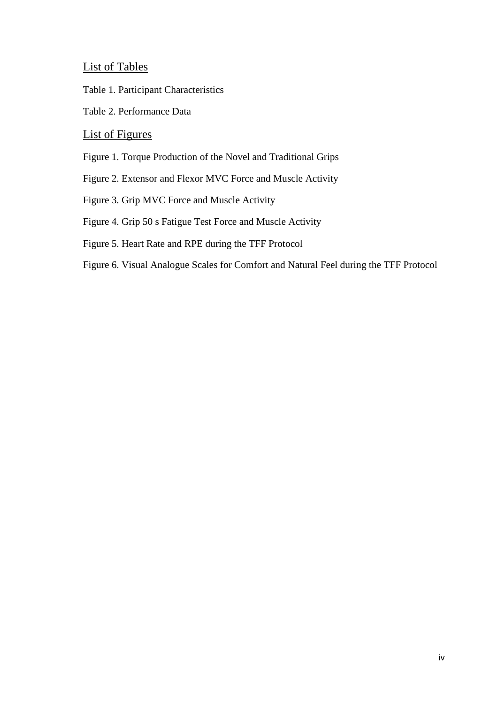List of Tables

Table 1. Participant Characteristics

Table 2. Performance Data

# List of Figures

Figure 1. Torque Production of the Novel and Traditional Grips

Figure 2. Extensor and Flexor MVC Force and Muscle Activity

Figure 3. Grip MVC Force and Muscle Activity

Figure 4. Grip 50 s Fatigue Test Force and Muscle Activity

Figure 5. Heart Rate and RPE during the TFF Protocol

Figure 6. Visual Analogue Scales for Comfort and Natural Feel during the TFF Protocol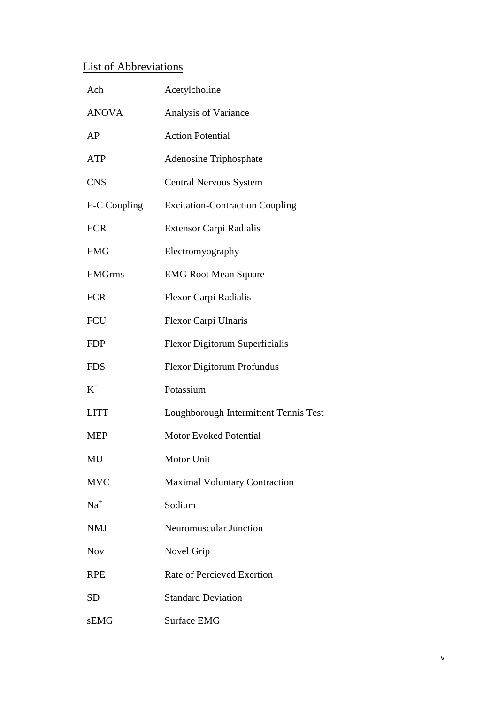# List of Abbreviations

| Ach           | Acetylcholine                          |
|---------------|----------------------------------------|
| <b>ANOVA</b>  | Analysis of Variance                   |
| AP            | <b>Action Potential</b>                |
| <b>ATP</b>    | <b>Adenosine Triphosphate</b>          |
| <b>CNS</b>    | <b>Central Nervous System</b>          |
| E-C Coupling  | <b>Excitation-Contraction Coupling</b> |
| <b>ECR</b>    | Extensor Carpi Radialis                |
| <b>EMG</b>    | Electromyography                       |
| <b>EMGrms</b> | <b>EMG Root Mean Square</b>            |
| <b>FCR</b>    | Flexor Carpi Radialis                  |
| <b>FCU</b>    | Flexor Carpi Ulnaris                   |
| <b>FDP</b>    | Flexor Digitorum Superficialis         |
| <b>FDS</b>    | <b>Flexor Digitorum Profundus</b>      |
| $K^+$         | Potassium                              |
| <b>LITT</b>   | Loughborough Intermittent Tennis Test  |
| <b>MEP</b>    | <b>Motor Evoked Potential</b>          |
| MU            | Motor Unit                             |
| <b>MVC</b>    | <b>Maximal Voluntary Contraction</b>   |
| $Na+$         | Sodium                                 |
| <b>NMJ</b>    | Neuromuscular Junction                 |
| <b>Nov</b>    | Novel Grip                             |
| <b>RPE</b>    | <b>Rate of Percieved Exertion</b>      |
| <b>SD</b>     | <b>Standard Deviation</b>              |
| sEMG          | <b>Surface EMG</b>                     |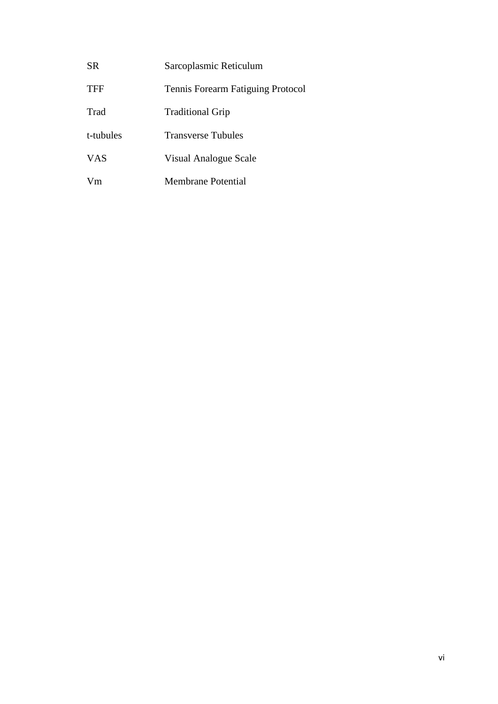| <b>SR</b>  | Sarcoplasmic Reticulum            |
|------------|-----------------------------------|
| <b>TFF</b> | Tennis Forearm Fatiguing Protocol |
| Trad       | <b>Traditional Grip</b>           |
| t-tubules  | <b>Transverse Tubules</b>         |
| <b>VAS</b> | Visual Analogue Scale             |
| Vm         | Membrane Potential                |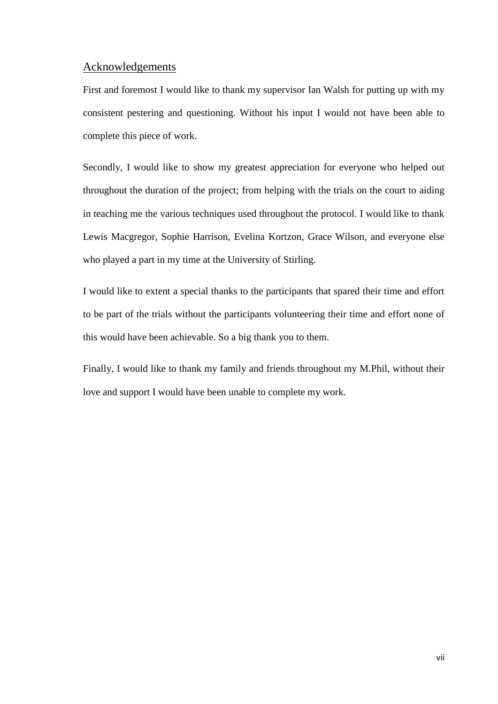## Acknowledgements

First and foremost I would like to thank my supervisor Ian Walsh for putting up with my consistent pestering and questioning. Without his input I would not have been able to complete this piece of work.

Secondly, I would like to show my greatest appreciation for everyone who helped out throughout the duration of the project; from helping with the trials on the court to aiding in teaching me the various techniques used throughout the protocol. I would like to thank Lewis Macgregor, Sophie Harrison, Evelina Kortzon, Grace Wilson, and everyone else who played a part in my time at the University of Stirling.

I would like to extent a special thanks to the participants that spared their time and effort to be part of the trials without the participants volunteering their time and effort none of this would have been achievable. So a big thank you to them.

Finally, I would like to thank my family and friends throughout my M.Phil, without their love and support I would have been unable to complete my work.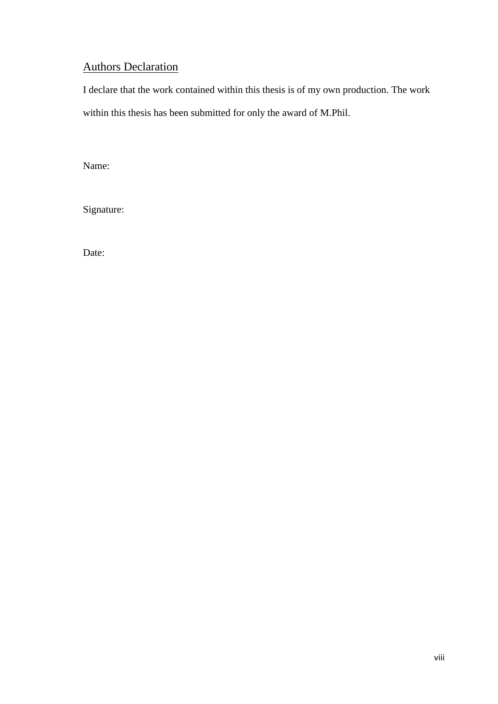# **Authors Declaration**

I declare that the work contained within this thesis is of my own production. The work within this thesis has been submitted for only the award of M.Phil.

Name:

Signature:

Date: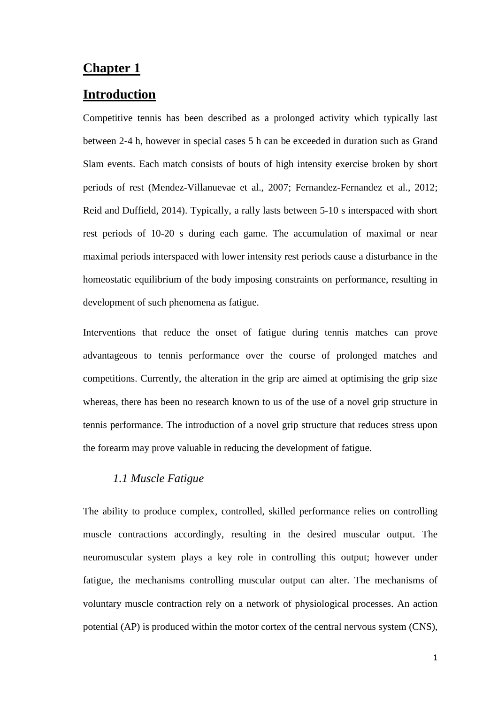# **Chapter 1**

## **Introduction**

Competitive tennis has been described as a prolonged activity which typically last between 2-4 h, however in special cases 5 h can be exceeded in duration such as Grand Slam events. Each match consists of bouts of high intensity exercise broken by short periods of rest (Mendez-Villanuevae et al., 2007; Fernandez-Fernandez et al., 2012; Reid and Duffield, 2014). Typically, a rally lasts between 5-10 s interspaced with short rest periods of 10-20 s during each game. The accumulation of maximal or near maximal periods interspaced with lower intensity rest periods cause a disturbance in the homeostatic equilibrium of the body imposing constraints on performance, resulting in development of such phenomena as fatigue.

Interventions that reduce the onset of fatigue during tennis matches can prove advantageous to tennis performance over the course of prolonged matches and competitions. Currently, the alteration in the grip are aimed at optimising the grip size whereas, there has been no research known to us of the use of a novel grip structure in tennis performance. The introduction of a novel grip structure that reduces stress upon the forearm may prove valuable in reducing the development of fatigue.

# *1.1 Muscle Fatigue*

The ability to produce complex, controlled, skilled performance relies on controlling muscle contractions accordingly, resulting in the desired muscular output. The neuromuscular system plays a key role in controlling this output; however under fatigue, the mechanisms controlling muscular output can alter. The mechanisms of voluntary muscle contraction rely on a network of physiological processes. An action potential (AP) is produced within the motor cortex of the central nervous system (CNS),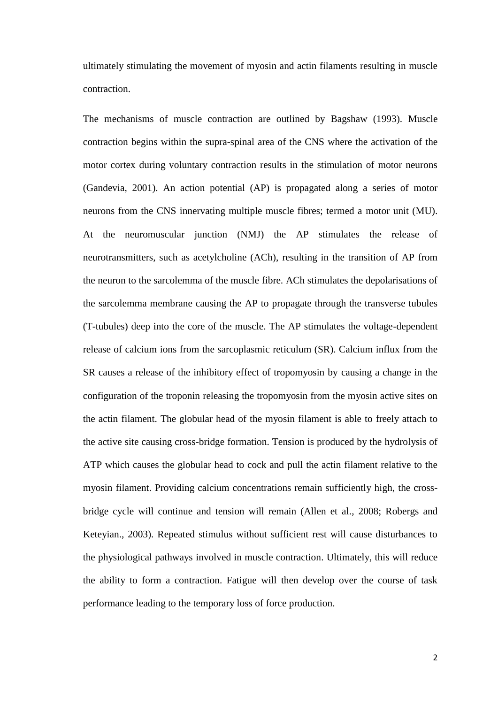ultimately stimulating the movement of myosin and actin filaments resulting in muscle contraction.

The mechanisms of muscle contraction are outlined by Bagshaw (1993). Muscle contraction begins within the supra-spinal area of the CNS where the activation of the motor cortex during voluntary contraction results in the stimulation of motor neurons (Gandevia, 2001). An action potential (AP) is propagated along a series of motor neurons from the CNS innervating multiple muscle fibres; termed a motor unit (MU). At the neuromuscular junction (NMJ) the AP stimulates the release of neurotransmitters, such as acetylcholine (ACh), resulting in the transition of AP from the neuron to the sarcolemma of the muscle fibre. ACh stimulates the depolarisations of the sarcolemma membrane causing the AP to propagate through the transverse tubules (T-tubules) deep into the core of the muscle. The AP stimulates the voltage-dependent release of calcium ions from the sarcoplasmic reticulum (SR). Calcium influx from the SR causes a release of the inhibitory effect of tropomyosin by causing a change in the configuration of the troponin releasing the tropomyosin from the myosin active sites on the actin filament. The globular head of the myosin filament is able to freely attach to the active site causing cross-bridge formation. Tension is produced by the hydrolysis of ATP which causes the globular head to cock and pull the actin filament relative to the myosin filament. Providing calcium concentrations remain sufficiently high, the crossbridge cycle will continue and tension will remain (Allen et al., 2008; Robergs and Keteyian., 2003). Repeated stimulus without sufficient rest will cause disturbances to the physiological pathways involved in muscle contraction. Ultimately, this will reduce the ability to form a contraction. Fatigue will then develop over the course of task performance leading to the temporary loss of force production.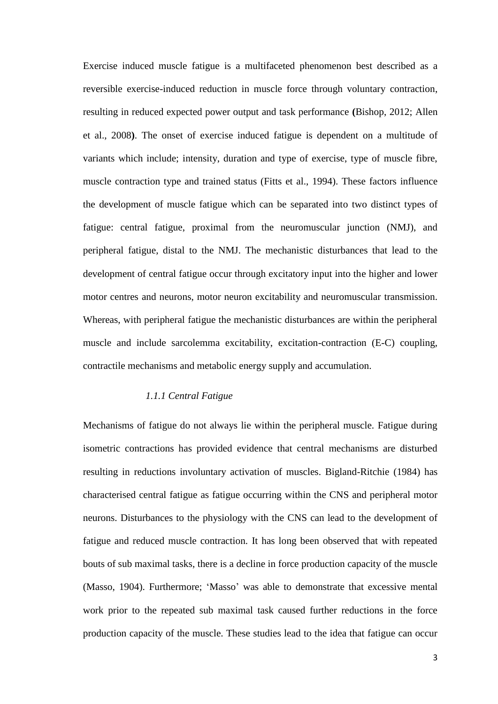Exercise induced muscle fatigue is a multifaceted phenomenon best described as a reversible exercise-induced reduction in muscle force through voluntary contraction, resulting in reduced expected power output and task performance **(**Bishop, 2012; Allen et al., 2008**)**. The onset of exercise induced fatigue is dependent on a multitude of variants which include; intensity, duration and type of exercise, type of muscle fibre, muscle contraction type and trained status (Fitts et al., 1994). These factors influence the development of muscle fatigue which can be separated into two distinct types of fatigue: central fatigue, proximal from the neuromuscular junction (NMJ), and peripheral fatigue, distal to the NMJ. The mechanistic disturbances that lead to the development of central fatigue occur through excitatory input into the higher and lower motor centres and neurons, motor neuron excitability and neuromuscular transmission. Whereas, with peripheral fatigue the mechanistic disturbances are within the peripheral muscle and include sarcolemma excitability, excitation-contraction (E-C) coupling, contractile mechanisms and metabolic energy supply and accumulation.

#### *1.1.1 Central Fatigue*

Mechanisms of fatigue do not always lie within the peripheral muscle. Fatigue during isometric contractions has provided evidence that central mechanisms are disturbed resulting in reductions involuntary activation of muscles. Bigland-Ritchie (1984) has characterised central fatigue as fatigue occurring within the CNS and peripheral motor neurons. Disturbances to the physiology with the CNS can lead to the development of fatigue and reduced muscle contraction. It has long been observed that with repeated bouts of sub maximal tasks, there is a decline in force production capacity of the muscle (Masso, 1904). Furthermore; 'Masso' was able to demonstrate that excessive mental work prior to the repeated sub maximal task caused further reductions in the force production capacity of the muscle. These studies lead to the idea that fatigue can occur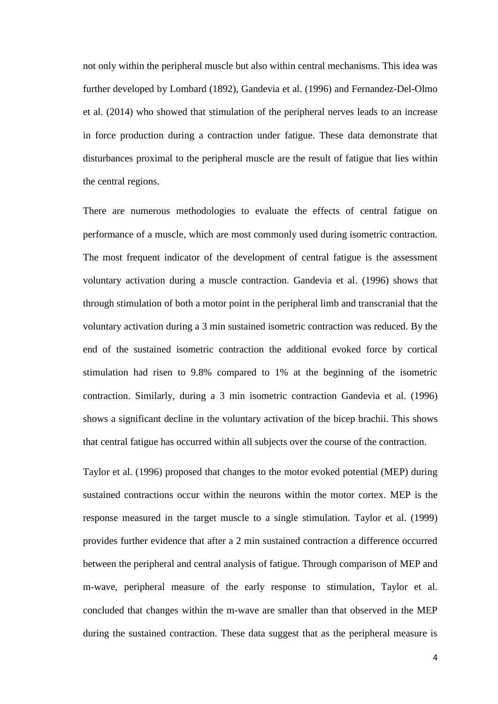not only within the peripheral muscle but also within central mechanisms. This idea was further developed by Lombard (1892), Gandevia et al. (1996) and Fernandez-Del-Olmo et al. (2014) who showed that stimulation of the peripheral nerves leads to an increase in force production during a contraction under fatigue. These data demonstrate that disturbances proximal to the peripheral muscle are the result of fatigue that lies within the central regions.

There are numerous methodologies to evaluate the effects of central fatigue on performance of a muscle, which are most commonly used during isometric contraction. The most frequent indicator of the development of central fatigue is the assessment voluntary activation during a muscle contraction. Gandevia et al. (1996) shows that through stimulation of both a motor point in the peripheral limb and transcranial that the voluntary activation during a 3 min sustained isometric contraction was reduced. By the end of the sustained isometric contraction the additional evoked force by cortical stimulation had risen to 9.8% compared to 1% at the beginning of the isometric contraction. Similarly, during a 3 min isometric contraction Gandevia et al. (1996) shows a significant decline in the voluntary activation of the bicep brachii. This shows that central fatigue has occurred within all subjects over the course of the contraction.

Taylor et al. (1996) proposed that changes to the motor evoked potential (MEP) during sustained contractions occur within the neurons within the motor cortex. MEP is the response measured in the target muscle to a single stimulation. Taylor et al. (1999) provides further evidence that after a 2 min sustained contraction a difference occurred between the peripheral and central analysis of fatigue. Through comparison of MEP and m-wave, peripheral measure of the early response to stimulation, Taylor et al. concluded that changes within the m-wave are smaller than that observed in the MEP during the sustained contraction. These data suggest that as the peripheral measure is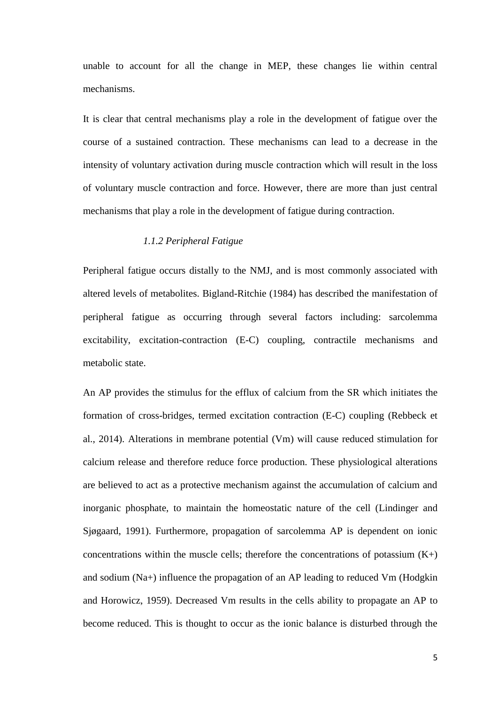unable to account for all the change in MEP, these changes lie within central mechanisms.

It is clear that central mechanisms play a role in the development of fatigue over the course of a sustained contraction. These mechanisms can lead to a decrease in the intensity of voluntary activation during muscle contraction which will result in the loss of voluntary muscle contraction and force. However, there are more than just central mechanisms that play a role in the development of fatigue during contraction.

### *1.1.2 Peripheral Fatigue*

Peripheral fatigue occurs distally to the NMJ, and is most commonly associated with altered levels of metabolites. Bigland-Ritchie (1984) has described the manifestation of peripheral fatigue as occurring through several factors including: sarcolemma excitability, excitation-contraction (E-C) coupling, contractile mechanisms and metabolic state.

An AP provides the stimulus for the efflux of calcium from the SR which initiates the formation of cross-bridges, termed excitation contraction (E-C) coupling (Rebbeck et al., 2014). Alterations in membrane potential (Vm) will cause reduced stimulation for calcium release and therefore reduce force production. These physiological alterations are believed to act as a protective mechanism against the accumulation of calcium and inorganic phosphate, to maintain the homeostatic nature of the cell (Lindinger and Sjøgaard, 1991). Furthermore, propagation of sarcolemma AP is dependent on ionic concentrations within the muscle cells; therefore the concentrations of potassium  $(K+)$ and sodium (Na+) influence the propagation of an AP leading to reduced Vm (Hodgkin and Horowicz, 1959). Decreased Vm results in the cells ability to propagate an AP to become reduced. This is thought to occur as the ionic balance is disturbed through the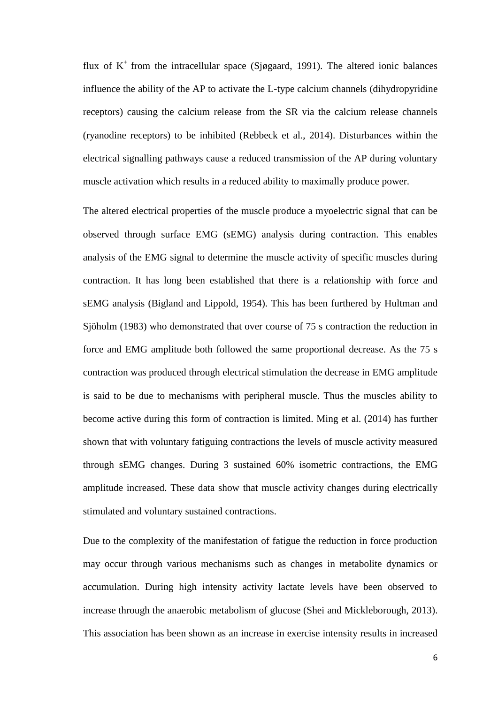flux of  $K^+$  from the intracellular space (Sjøgaard, 1991). The altered ionic balances influence the ability of the AP to activate the L-type calcium channels (dihydropyridine receptors) causing the calcium release from the SR via the calcium release channels (ryanodine receptors) to be inhibited (Rebbeck et al., 2014). Disturbances within the electrical signalling pathways cause a reduced transmission of the AP during voluntary muscle activation which results in a reduced ability to maximally produce power.

The altered electrical properties of the muscle produce a myoelectric signal that can be observed through surface EMG (sEMG) analysis during contraction. This enables analysis of the EMG signal to determine the muscle activity of specific muscles during contraction. It has long been established that there is a relationship with force and sEMG analysis (Bigland and Lippold, 1954). This has been furthered by Hultman and Sjöholm (1983) who demonstrated that over course of 75 s contraction the reduction in force and EMG amplitude both followed the same proportional decrease. As the 75 s contraction was produced through electrical stimulation the decrease in EMG amplitude is said to be due to mechanisms with peripheral muscle. Thus the muscles ability to become active during this form of contraction is limited. Ming et al. (2014) has further shown that with voluntary fatiguing contractions the levels of muscle activity measured through sEMG changes. During 3 sustained 60% isometric contractions, the EMG amplitude increased. These data show that muscle activity changes during electrically stimulated and voluntary sustained contractions.

Due to the complexity of the manifestation of fatigue the reduction in force production may occur through various mechanisms such as changes in metabolite dynamics or accumulation. During high intensity activity lactate levels have been observed to increase through the anaerobic metabolism of glucose (Shei and Mickleborough, 2013). This association has been shown as an increase in exercise intensity results in increased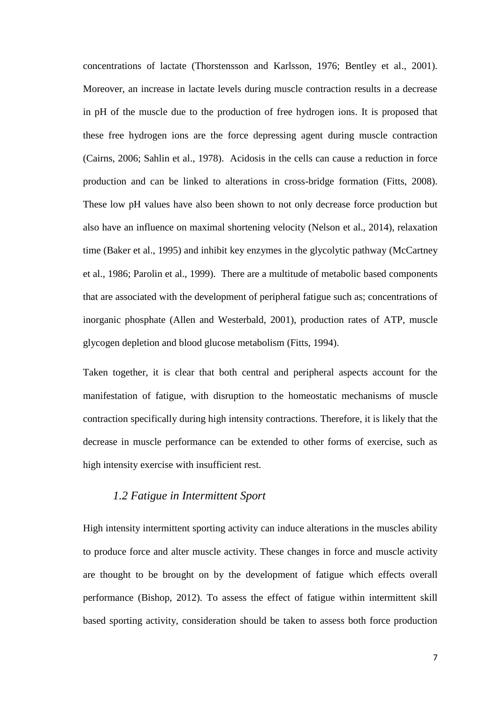concentrations of lactate (Thorstensson and Karlsson, 1976; Bentley et al., 2001). Moreover, an increase in lactate levels during muscle contraction results in a decrease in pH of the muscle due to the production of free hydrogen ions. It is proposed that these free hydrogen ions are the force depressing agent during muscle contraction (Cairns, 2006; Sahlin et al., 1978). Acidosis in the cells can cause a reduction in force production and can be linked to alterations in cross-bridge formation (Fitts, 2008). These low pH values have also been shown to not only decrease force production but also have an influence on maximal shortening velocity (Nelson et al., 2014), relaxation time (Baker et al., 1995) and inhibit key enzymes in the glycolytic pathway (McCartney et al., 1986; Parolin et al., 1999). There are a multitude of metabolic based components that are associated with the development of peripheral fatigue such as; concentrations of inorganic phosphate (Allen and Westerbald, 2001), production rates of ATP, muscle glycogen depletion and blood glucose metabolism (Fitts, 1994).

Taken together, it is clear that both central and peripheral aspects account for the manifestation of fatigue, with disruption to the homeostatic mechanisms of muscle contraction specifically during high intensity contractions. Therefore, it is likely that the decrease in muscle performance can be extended to other forms of exercise, such as high intensity exercise with insufficient rest.

# *1.2 Fatigue in Intermittent Sport*

High intensity intermittent sporting activity can induce alterations in the muscles ability to produce force and alter muscle activity. These changes in force and muscle activity are thought to be brought on by the development of fatigue which effects overall performance (Bishop, 2012). To assess the effect of fatigue within intermittent skill based sporting activity, consideration should be taken to assess both force production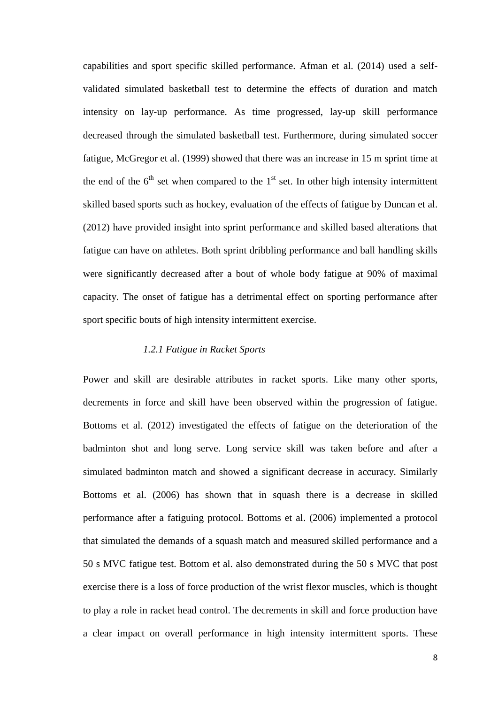capabilities and sport specific skilled performance. Afman et al. (2014) used a selfvalidated simulated basketball test to determine the effects of duration and match intensity on lay-up performance. As time progressed, lay-up skill performance decreased through the simulated basketball test. Furthermore, during simulated soccer fatigue, McGregor et al. (1999) showed that there was an increase in 15 m sprint time at the end of the  $6<sup>th</sup>$  set when compared to the  $1<sup>st</sup>$  set. In other high intensity intermittent skilled based sports such as hockey, evaluation of the effects of fatigue by Duncan et al. (2012) have provided insight into sprint performance and skilled based alterations that fatigue can have on athletes. Both sprint dribbling performance and ball handling skills were significantly decreased after a bout of whole body fatigue at 90% of maximal capacity. The onset of fatigue has a detrimental effect on sporting performance after sport specific bouts of high intensity intermittent exercise.

### *1.2.1 Fatigue in Racket Sports*

Power and skill are desirable attributes in racket sports. Like many other sports, decrements in force and skill have been observed within the progression of fatigue. Bottoms et al. (2012) investigated the effects of fatigue on the deterioration of the badminton shot and long serve. Long service skill was taken before and after a simulated badminton match and showed a significant decrease in accuracy. Similarly Bottoms et al. (2006) has shown that in squash there is a decrease in skilled performance after a fatiguing protocol. Bottoms et al. (2006) implemented a protocol that simulated the demands of a squash match and measured skilled performance and a 50 s MVC fatigue test. Bottom et al. also demonstrated during the 50 s MVC that post exercise there is a loss of force production of the wrist flexor muscles, which is thought to play a role in racket head control. The decrements in skill and force production have a clear impact on overall performance in high intensity intermittent sports. These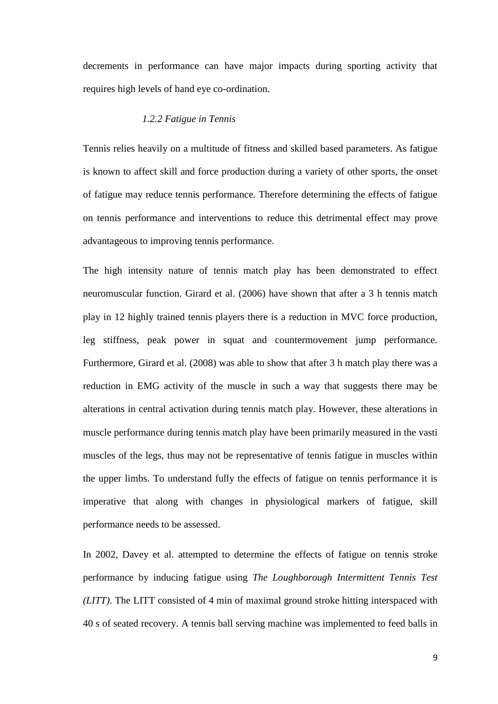decrements in performance can have major impacts during sporting activity that requires high levels of hand eye co-ordination.

#### *1.2.2 Fatigue in Tennis*

Tennis relies heavily on a multitude of fitness and skilled based parameters. As fatigue is known to affect skill and force production during a variety of other sports, the onset of fatigue may reduce tennis performance. Therefore determining the effects of fatigue on tennis performance and interventions to reduce this detrimental effect may prove advantageous to improving tennis performance.

The high intensity nature of tennis match play has been demonstrated to effect neuromuscular function. Girard et al. (2006) have shown that after a 3 h tennis match play in 12 highly trained tennis players there is a reduction in MVC force production, leg stiffness, peak power in squat and countermovement jump performance. Furthermore, Girard et al. (2008) was able to show that after 3 h match play there was a reduction in EMG activity of the muscle in such a way that suggests there may be alterations in central activation during tennis match play. However, these alterations in muscle performance during tennis match play have been primarily measured in the vasti muscles of the legs, thus may not be representative of tennis fatigue in muscles within the upper limbs. To understand fully the effects of fatigue on tennis performance it is imperative that along with changes in physiological markers of fatigue, skill performance needs to be assessed.

In 2002, Davey et al. attempted to determine the effects of fatigue on tennis stroke performance by inducing fatigue using *The Loughborough Intermittent Tennis Test (LITT)*. The LITT consisted of 4 min of maximal ground stroke hitting interspaced with 40 s of seated recovery. A tennis ball serving machine was implemented to feed balls in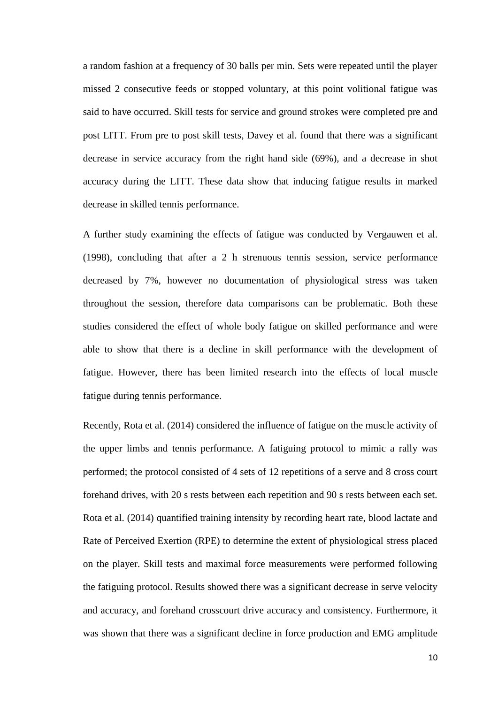a random fashion at a frequency of 30 balls per min. Sets were repeated until the player missed 2 consecutive feeds or stopped voluntary, at this point volitional fatigue was said to have occurred. Skill tests for service and ground strokes were completed pre and post LITT. From pre to post skill tests, Davey et al. found that there was a significant decrease in service accuracy from the right hand side (69%), and a decrease in shot accuracy during the LITT. These data show that inducing fatigue results in marked decrease in skilled tennis performance.

A further study examining the effects of fatigue was conducted by Vergauwen et al. (1998), concluding that after a 2 h strenuous tennis session, service performance decreased by 7%, however no documentation of physiological stress was taken throughout the session, therefore data comparisons can be problematic. Both these studies considered the effect of whole body fatigue on skilled performance and were able to show that there is a decline in skill performance with the development of fatigue. However, there has been limited research into the effects of local muscle fatigue during tennis performance.

Recently, Rota et al. (2014) considered the influence of fatigue on the muscle activity of the upper limbs and tennis performance. A fatiguing protocol to mimic a rally was performed; the protocol consisted of 4 sets of 12 repetitions of a serve and 8 cross court forehand drives, with 20 s rests between each repetition and 90 s rests between each set. Rota et al. (2014) quantified training intensity by recording heart rate, blood lactate and Rate of Perceived Exertion (RPE) to determine the extent of physiological stress placed on the player. Skill tests and maximal force measurements were performed following the fatiguing protocol. Results showed there was a significant decrease in serve velocity and accuracy, and forehand crosscourt drive accuracy and consistency. Furthermore, it was shown that there was a significant decline in force production and EMG amplitude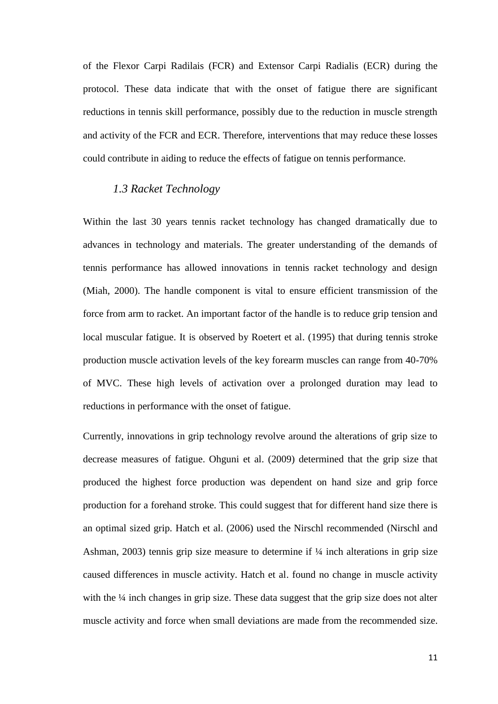of the Flexor Carpi Radilais (FCR) and Extensor Carpi Radialis (ECR) during the protocol. These data indicate that with the onset of fatigue there are significant reductions in tennis skill performance, possibly due to the reduction in muscle strength and activity of the FCR and ECR. Therefore, interventions that may reduce these losses could contribute in aiding to reduce the effects of fatigue on tennis performance.

## *1.3 Racket Technology*

Within the last 30 years tennis racket technology has changed dramatically due to advances in technology and materials. The greater understanding of the demands of tennis performance has allowed innovations in tennis racket technology and design (Miah, 2000). The handle component is vital to ensure efficient transmission of the force from arm to racket. An important factor of the handle is to reduce grip tension and local muscular fatigue. It is observed by Roetert et al. (1995) that during tennis stroke production muscle activation levels of the key forearm muscles can range from 40-70% of MVC. These high levels of activation over a prolonged duration may lead to reductions in performance with the onset of fatigue.

Currently, innovations in grip technology revolve around the alterations of grip size to decrease measures of fatigue. Ohguni et al. (2009) determined that the grip size that produced the highest force production was dependent on hand size and grip force production for a forehand stroke. This could suggest that for different hand size there is an optimal sized grip. Hatch et al. (2006) used the Nirschl recommended (Nirschl and Ashman, 2003) tennis grip size measure to determine if  $\frac{1}{4}$  inch alterations in grip size caused differences in muscle activity. Hatch et al. found no change in muscle activity with the ¼ inch changes in grip size. These data suggest that the grip size does not alter muscle activity and force when small deviations are made from the recommended size.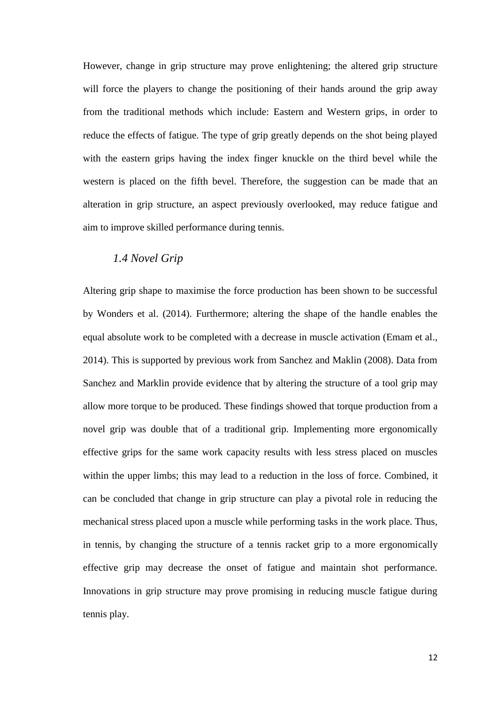However, change in grip structure may prove enlightening; the altered grip structure will force the players to change the positioning of their hands around the grip away from the traditional methods which include: Eastern and Western grips, in order to reduce the effects of fatigue. The type of grip greatly depends on the shot being played with the eastern grips having the index finger knuckle on the third bevel while the western is placed on the fifth bevel. Therefore, the suggestion can be made that an alteration in grip structure, an aspect previously overlooked, may reduce fatigue and aim to improve skilled performance during tennis.

# *1.4 Novel Grip*

Altering grip shape to maximise the force production has been shown to be successful by Wonders et al. (2014). Furthermore; altering the shape of the handle enables the equal absolute work to be completed with a decrease in muscle activation (Emam et al., 2014). This is supported by previous work from Sanchez and Maklin (2008). Data from Sanchez and Marklin provide evidence that by altering the structure of a tool grip may allow more torque to be produced. These findings showed that torque production from a novel grip was double that of a traditional grip. Implementing more ergonomically effective grips for the same work capacity results with less stress placed on muscles within the upper limbs; this may lead to a reduction in the loss of force. Combined, it can be concluded that change in grip structure can play a pivotal role in reducing the mechanical stress placed upon a muscle while performing tasks in the work place. Thus, in tennis, by changing the structure of a tennis racket grip to a more ergonomically effective grip may decrease the onset of fatigue and maintain shot performance. Innovations in grip structure may prove promising in reducing muscle fatigue during tennis play.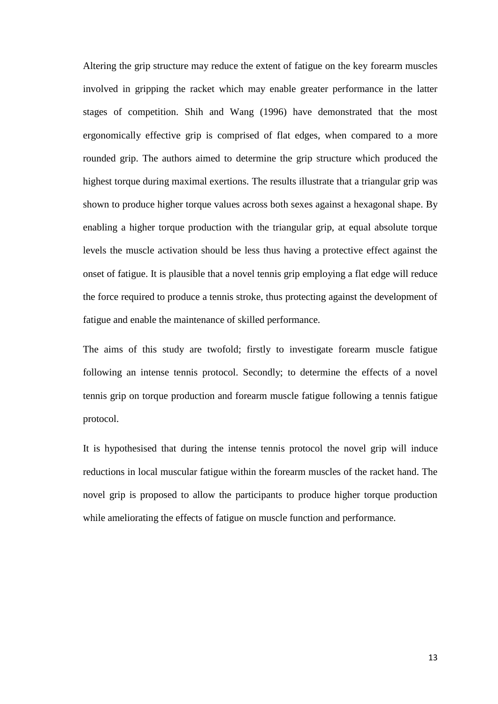Altering the grip structure may reduce the extent of fatigue on the key forearm muscles involved in gripping the racket which may enable greater performance in the latter stages of competition. Shih and Wang (1996) have demonstrated that the most ergonomically effective grip is comprised of flat edges, when compared to a more rounded grip. The authors aimed to determine the grip structure which produced the highest torque during maximal exertions. The results illustrate that a triangular grip was shown to produce higher torque values across both sexes against a hexagonal shape. By enabling a higher torque production with the triangular grip, at equal absolute torque levels the muscle activation should be less thus having a protective effect against the onset of fatigue. It is plausible that a novel tennis grip employing a flat edge will reduce the force required to produce a tennis stroke, thus protecting against the development of fatigue and enable the maintenance of skilled performance.

The aims of this study are twofold; firstly to investigate forearm muscle fatigue following an intense tennis protocol. Secondly; to determine the effects of a novel tennis grip on torque production and forearm muscle fatigue following a tennis fatigue protocol.

It is hypothesised that during the intense tennis protocol the novel grip will induce reductions in local muscular fatigue within the forearm muscles of the racket hand. The novel grip is proposed to allow the participants to produce higher torque production while ameliorating the effects of fatigue on muscle function and performance.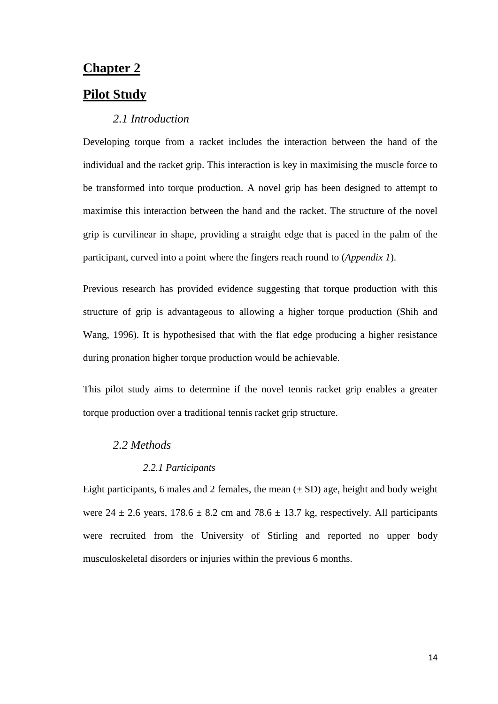# **Chapter 2**

# **Pilot Study**

## *2.1 Introduction*

Developing torque from a racket includes the interaction between the hand of the individual and the racket grip. This interaction is key in maximising the muscle force to be transformed into torque production. A novel grip has been designed to attempt to maximise this interaction between the hand and the racket. The structure of the novel grip is curvilinear in shape, providing a straight edge that is paced in the palm of the participant, curved into a point where the fingers reach round to (*Appendix 1*).

Previous research has provided evidence suggesting that torque production with this structure of grip is advantageous to allowing a higher torque production (Shih and Wang, 1996). It is hypothesised that with the flat edge producing a higher resistance during pronation higher torque production would be achievable.

This pilot study aims to determine if the novel tennis racket grip enables a greater torque production over a traditional tennis racket grip structure.

## *2.2 Methods*

#### *2.2.1 Participants*

Eight participants, 6 males and 2 females, the mean  $(\pm SD)$  age, height and body weight were  $24 \pm 2.6$  years,  $178.6 \pm 8.2$  cm and  $78.6 \pm 13.7$  kg, respectively. All participants were recruited from the University of Stirling and reported no upper body musculoskeletal disorders or injuries within the previous 6 months.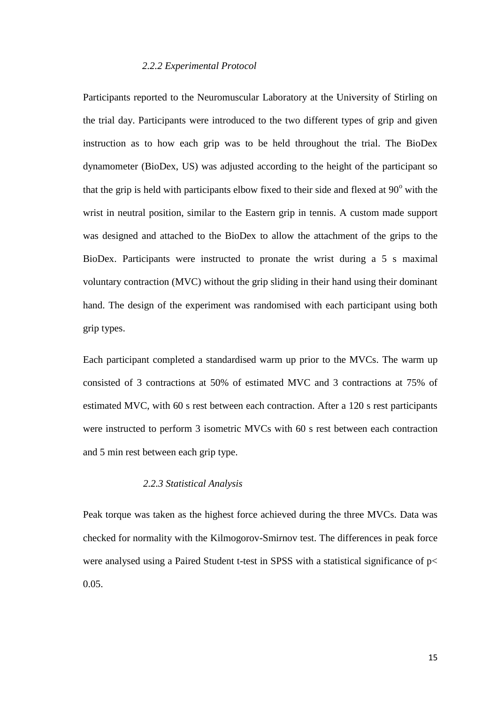#### *2.2.2 Experimental Protocol*

Participants reported to the Neuromuscular Laboratory at the University of Stirling on the trial day. Participants were introduced to the two different types of grip and given instruction as to how each grip was to be held throughout the trial. The BioDex dynamometer (BioDex, US) was adjusted according to the height of the participant so that the grip is held with participants elbow fixed to their side and flexed at  $90^{\circ}$  with the wrist in neutral position, similar to the Eastern grip in tennis. A custom made support was designed and attached to the BioDex to allow the attachment of the grips to the BioDex. Participants were instructed to pronate the wrist during a 5 s maximal voluntary contraction (MVC) without the grip sliding in their hand using their dominant hand. The design of the experiment was randomised with each participant using both grip types.

Each participant completed a standardised warm up prior to the MVCs. The warm up consisted of 3 contractions at 50% of estimated MVC and 3 contractions at 75% of estimated MVC, with 60 s rest between each contraction. After a 120 s rest participants were instructed to perform 3 isometric MVCs with 60 s rest between each contraction and 5 min rest between each grip type.

#### *2.2.3 Statistical Analysis*

Peak torque was taken as the highest force achieved during the three MVCs. Data was checked for normality with the Kilmogorov-Smirnov test. The differences in peak force were analysed using a Paired Student t-test in SPSS with a statistical significance of p< 0.05.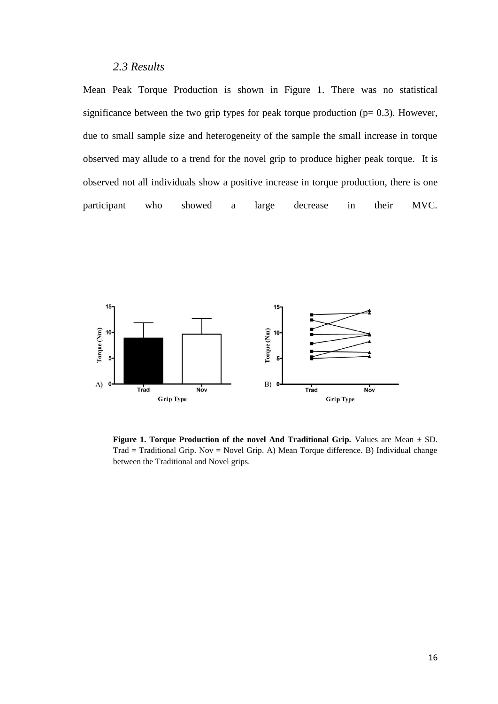# *2.3 Results*

Mean Peak Torque Production is shown in Figure 1. There was no statistical significance between the two grip types for peak torque production ( $p= 0.3$ ). However, due to small sample size and heterogeneity of the sample the small increase in torque observed may allude to a trend for the novel grip to produce higher peak torque. It is observed not all individuals show a positive increase in torque production, there is one participant who showed a large decrease in their MVC.



**Figure 1. Torque Production of the novel And Traditional Grip.** Values are Mean  $\pm$  SD. Trad = Traditional Grip. Nov = Novel Grip. A) Mean Torque difference. B) Individual change between the Traditional and Novel grips.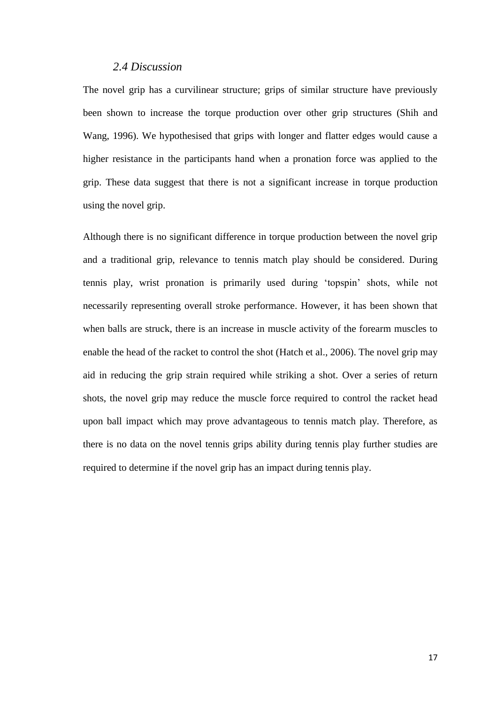## *2.4 Discussion*

The novel grip has a curvilinear structure; grips of similar structure have previously been shown to increase the torque production over other grip structures (Shih and Wang, 1996). We hypothesised that grips with longer and flatter edges would cause a higher resistance in the participants hand when a pronation force was applied to the grip. These data suggest that there is not a significant increase in torque production using the novel grip.

Although there is no significant difference in torque production between the novel grip and a traditional grip, relevance to tennis match play should be considered. During tennis play, wrist pronation is primarily used during 'topspin' shots, while not necessarily representing overall stroke performance. However, it has been shown that when balls are struck, there is an increase in muscle activity of the forearm muscles to enable the head of the racket to control the shot (Hatch et al., 2006). The novel grip may aid in reducing the grip strain required while striking a shot. Over a series of return shots, the novel grip may reduce the muscle force required to control the racket head upon ball impact which may prove advantageous to tennis match play. Therefore, as there is no data on the novel tennis grips ability during tennis play further studies are required to determine if the novel grip has an impact during tennis play.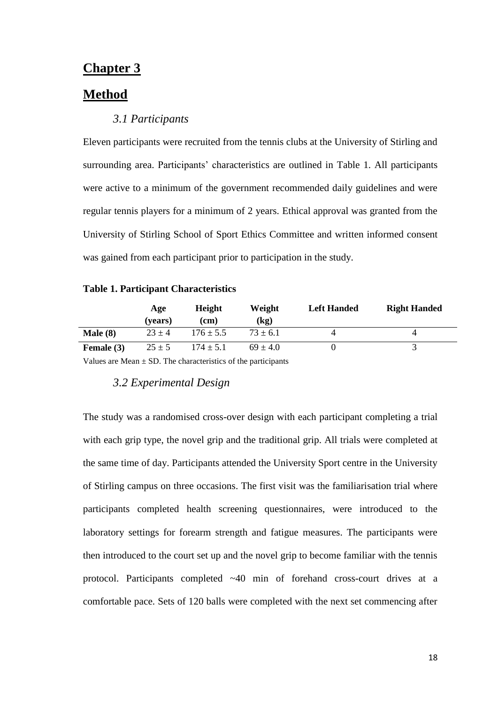# **Chapter 3**

# **Method**

## *3.1 Participants*

Eleven participants were recruited from the tennis clubs at the University of Stirling and surrounding area. Participants' characteristics are outlined in Table 1. All participants were active to a minimum of the government recommended daily guidelines and were regular tennis players for a minimum of 2 years. Ethical approval was granted from the University of Stirling School of Sport Ethics Committee and written informed consent was gained from each participant prior to participation in the study.

#### **Table 1. Participant Characteristics**

|              | Age<br>(vears) | <b>Height</b><br>(cm) | Weight<br>(kg) | <b>Left Handed</b> | <b>Right Handed</b> |
|--------------|----------------|-----------------------|----------------|--------------------|---------------------|
| Male(8)      | $23 \pm 4$     | $176 \pm 5.5$         | $73 \pm 6.1$   |                    |                     |
| Female $(3)$ | $25 \pm 5$     | $174 \pm 5.1$         | $69 \pm 4.0$   |                    |                     |

Values are Mean  $\pm$  SD. The characteristics of the participants

### *3.2 Experimental Design*

The study was a randomised cross-over design with each participant completing a trial with each grip type, the novel grip and the traditional grip. All trials were completed at the same time of day. Participants attended the University Sport centre in the University of Stirling campus on three occasions. The first visit was the familiarisation trial where participants completed health screening questionnaires, were introduced to the laboratory settings for forearm strength and fatigue measures. The participants were then introduced to the court set up and the novel grip to become familiar with the tennis protocol. Participants completed ~40 min of forehand cross-court drives at a comfortable pace. Sets of 120 balls were completed with the next set commencing after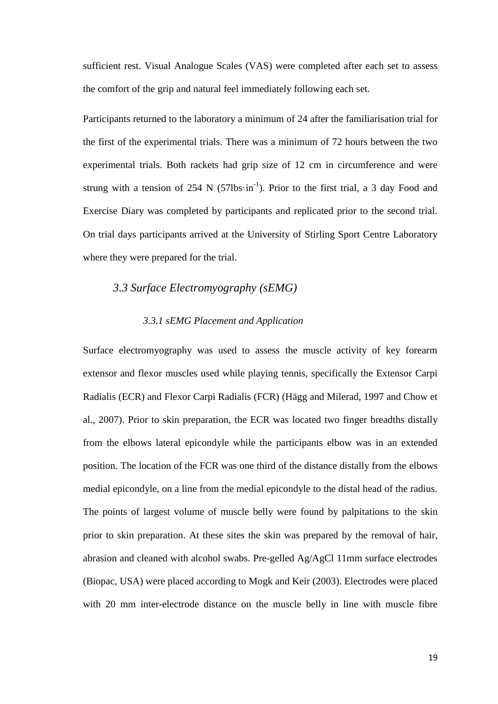sufficient rest. Visual Analogue Scales (VAS) were completed after each set to assess the comfort of the grip and natural feel immediately following each set.

Participants returned to the laboratory a minimum of 24 after the familiarisation trial for the first of the experimental trials. There was a minimum of 72 hours between the two experimental trials. Both rackets had grip size of 12 cm in circumference and were strung with a tension of 254 N (57lbs $\cdot$ in<sup>-1</sup>). Prior to the first trial, a 3 day Food and Exercise Diary was completed by participants and replicated prior to the second trial. On trial days participants arrived at the University of Stirling Sport Centre Laboratory where they were prepared for the trial.

## *3.3 Surface Electromyography (sEMG)*

## *3.3.1 sEMG Placement and Application*

Surface electromyography was used to assess the muscle activity of key forearm extensor and flexor muscles used while playing tennis, specifically the Extensor Carpi Radialis (ECR) and Flexor Carpi Radialis (FCR) (Hägg and Milerad, 1997 and Chow et al., 2007). Prior to skin preparation, the ECR was located two finger breadths distally from the elbows lateral epicondyle while the participants elbow was in an extended position. The location of the FCR was one third of the distance distally from the elbows medial epicondyle, on a line from the medial epicondyle to the distal head of the radius. The points of largest volume of muscle belly were found by palpitations to the skin prior to skin preparation. At these sites the skin was prepared by the removal of hair, abrasion and cleaned with alcohol swabs. Pre-gelled Ag/AgCl 11mm surface electrodes (Biopac, USA) were placed according to Mogk and Keir (2003). Electrodes were placed with 20 mm inter-electrode distance on the muscle belly in line with muscle fibre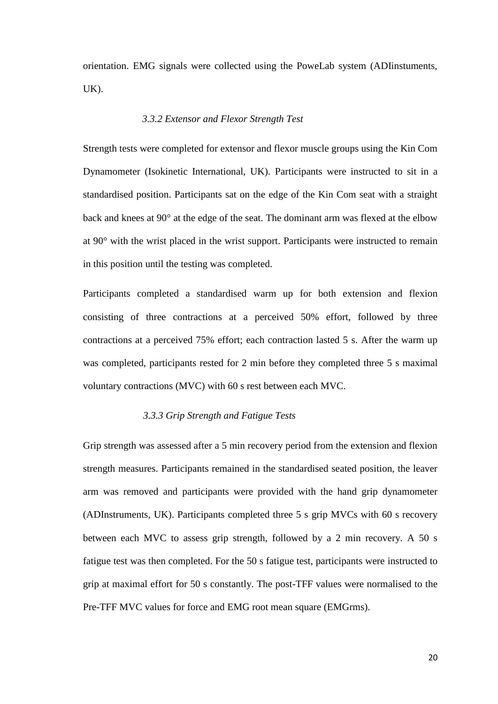orientation. EMG signals were collected using the PoweLab system (ADIinstuments,  $UK$ ).

### *3.3.2 Extensor and Flexor Strength Test*

Strength tests were completed for extensor and flexor muscle groups using the Kin Com Dynamometer (Isokinetic International, UK). Participants were instructed to sit in a standardised position. Participants sat on the edge of the Kin Com seat with a straight back and knees at 90° at the edge of the seat. The dominant arm was flexed at the elbow at 90° with the wrist placed in the wrist support. Participants were instructed to remain in this position until the testing was completed.

Participants completed a standardised warm up for both extension and flexion consisting of three contractions at a perceived 50% effort, followed by three contractions at a perceived 75% effort; each contraction lasted 5 s. After the warm up was completed, participants rested for 2 min before they completed three 5 s maximal voluntary contractions (MVC) with 60 s rest between each MVC.

## *3.3.3 Grip Strength and Fatigue Tests*

Grip strength was assessed after a 5 min recovery period from the extension and flexion strength measures. Participants remained in the standardised seated position, the leaver arm was removed and participants were provided with the hand grip dynamometer (ADInstruments, UK). Participants completed three 5 s grip MVCs with 60 s recovery between each MVC to assess grip strength, followed by a 2 min recovery. A 50 s fatigue test was then completed. For the 50 s fatigue test, participants were instructed to grip at maximal effort for 50 s constantly. The post-TFF values were normalised to the Pre-TFF MVC values for force and EMG root mean square (EMGrms).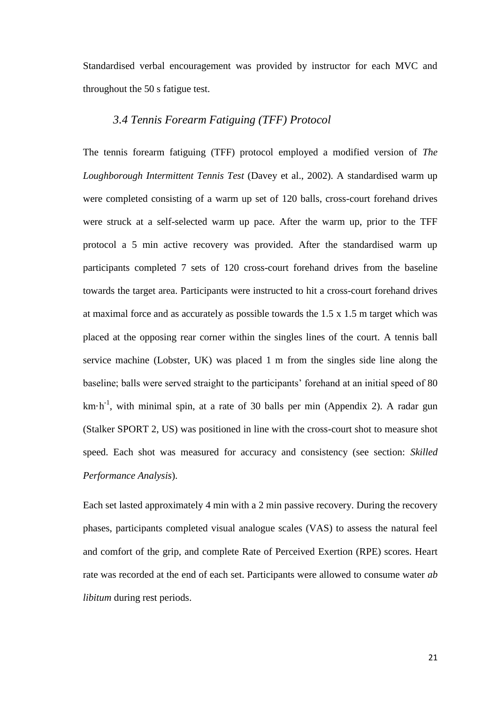Standardised verbal encouragement was provided by instructor for each MVC and throughout the 50 s fatigue test.

## *3.4 Tennis Forearm Fatiguing (TFF) Protocol*

The tennis forearm fatiguing (TFF) protocol employed a modified version of *The Loughborough Intermittent Tennis Test* (Davey et al., 2002). A standardised warm up were completed consisting of a warm up set of 120 balls, cross-court forehand drives were struck at a self-selected warm up pace. After the warm up, prior to the TFF protocol a 5 min active recovery was provided. After the standardised warm up participants completed 7 sets of 120 cross-court forehand drives from the baseline towards the target area. Participants were instructed to hit a cross-court forehand drives at maximal force and as accurately as possible towards the 1.5 x 1.5 m target which was placed at the opposing rear corner within the singles lines of the court. A tennis ball service machine (Lobster, UK) was placed 1 m from the singles side line along the baseline; balls were served straight to the participants' forehand at an initial speed of 80  $km \cdot h^{-1}$ , with minimal spin, at a rate of 30 balls per min (Appendix 2). A radar gun (Stalker SPORT 2, US) was positioned in line with the cross-court shot to measure shot speed. Each shot was measured for accuracy and consistency (see section: *Skilled Performance Analysis*).

Each set lasted approximately 4 min with a 2 min passive recovery. During the recovery phases, participants completed visual analogue scales (VAS) to assess the natural feel and comfort of the grip, and complete Rate of Perceived Exertion (RPE) scores. Heart rate was recorded at the end of each set. Participants were allowed to consume water *ab libitum* during rest periods.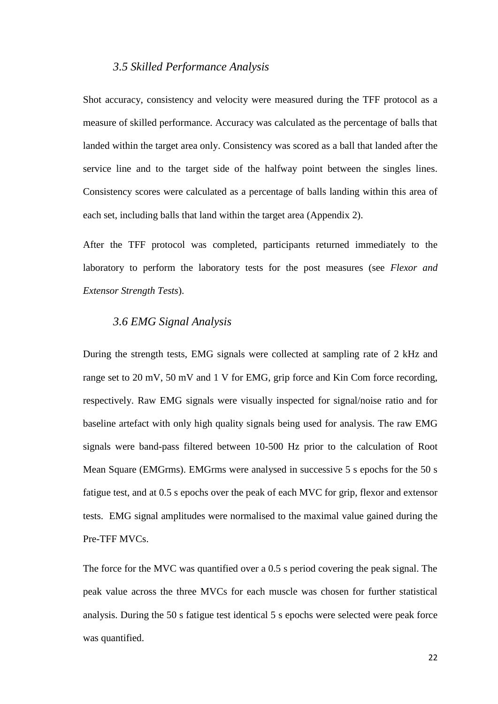## *3.5 Skilled Performance Analysis*

Shot accuracy, consistency and velocity were measured during the TFF protocol as a measure of skilled performance. Accuracy was calculated as the percentage of balls that landed within the target area only. Consistency was scored as a ball that landed after the service line and to the target side of the halfway point between the singles lines. Consistency scores were calculated as a percentage of balls landing within this area of each set, including balls that land within the target area (Appendix 2).

After the TFF protocol was completed, participants returned immediately to the laboratory to perform the laboratory tests for the post measures (see *Flexor and Extensor Strength Tests*).

## *3.6 EMG Signal Analysis*

During the strength tests, EMG signals were collected at sampling rate of 2 kHz and range set to 20 mV, 50 mV and 1 V for EMG, grip force and Kin Com force recording, respectively. Raw EMG signals were visually inspected for signal/noise ratio and for baseline artefact with only high quality signals being used for analysis. The raw EMG signals were band-pass filtered between 10-500 Hz prior to the calculation of Root Mean Square (EMGrms). EMGrms were analysed in successive 5 s epochs for the 50 s fatigue test, and at 0.5 s epochs over the peak of each MVC for grip, flexor and extensor tests. EMG signal amplitudes were normalised to the maximal value gained during the Pre-TFF MVCs.

The force for the MVC was quantified over a 0.5 s period covering the peak signal. The peak value across the three MVCs for each muscle was chosen for further statistical analysis. During the 50 s fatigue test identical 5 s epochs were selected were peak force was quantified.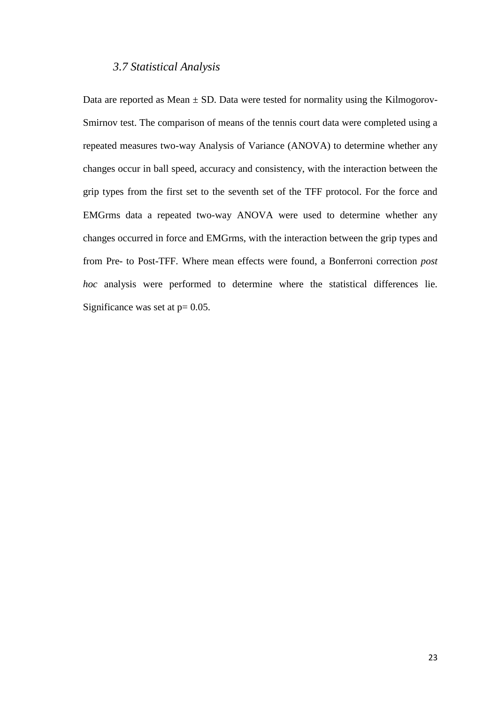## *3.7 Statistical Analysis*

Data are reported as Mean  $\pm$  SD. Data were tested for normality using the Kilmogorov-Smirnov test. The comparison of means of the tennis court data were completed using a repeated measures two-way Analysis of Variance (ANOVA) to determine whether any changes occur in ball speed, accuracy and consistency, with the interaction between the grip types from the first set to the seventh set of the TFF protocol. For the force and EMGrms data a repeated two-way ANOVA were used to determine whether any changes occurred in force and EMGrms, with the interaction between the grip types and from Pre- to Post-TFF. Where mean effects were found, a Bonferroni correction *post hoc* analysis were performed to determine where the statistical differences lie. Significance was set at  $p = 0.05$ .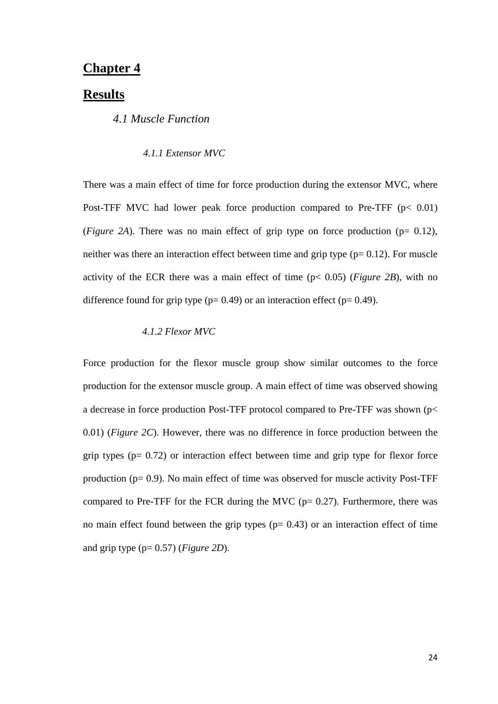# **Chapter 4**

## **Results**

## *4.1 Muscle Function*

### *4.1.1 Extensor MVC*

There was a main effect of time for force production during the extensor MVC, where Post-TFF MVC had lower peak force production compared to Pre-TFF  $(p< 0.01)$ (*Figure 2A*). There was no main effect of grip type on force production ( $p= 0.12$ ), neither was there an interaction effect between time and grip type  $(p= 0.12)$ . For muscle activity of the ECR there was a main effect of time (p< 0.05) (*Figure 2B*), with no difference found for grip type ( $p= 0.49$ ) or an interaction effect ( $p= 0.49$ ).

### *4.1.2 Flexor MVC*

Force production for the flexor muscle group show similar outcomes to the force production for the extensor muscle group. A main effect of time was observed showing a decrease in force production Post-TFF protocol compared to Pre-TFF was shown (p< 0.01) (*Figure 2C*). However, there was no difference in force production between the grip types ( $p= 0.72$ ) or interaction effect between time and grip type for flexor force production ( $p= 0.9$ ). No main effect of time was observed for muscle activity Post-TFF compared to Pre-TFF for the FCR during the MVC ( $p= 0.27$ ). Furthermore, there was no main effect found between the grip types  $(p= 0.43)$  or an interaction effect of time and grip type (p= 0.57) (*Figure 2D*).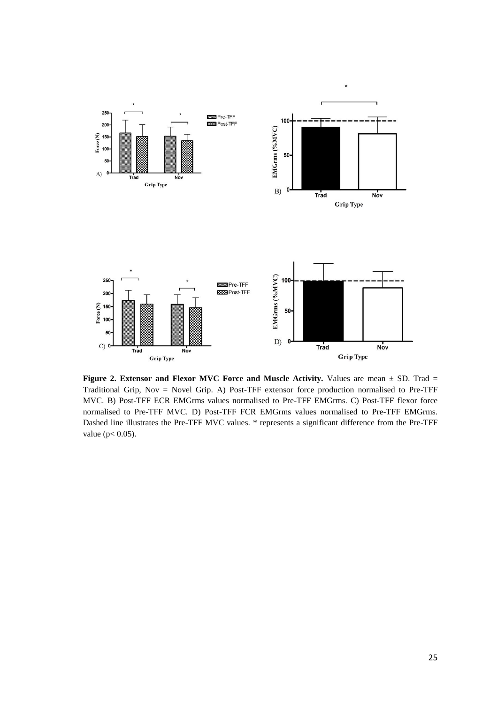

**Figure 2. Extensor and Flexor MVC Force and Muscle Activity.** Values are mean  $\pm$  SD. Trad = Traditional Grip, Nov = Novel Grip. A) Post-TFF extensor force production normalised to Pre-TFF MVC. B) Post-TFF ECR EMGrms values normalised to Pre-TFF EMGrms. C) Post-TFF flexor force normalised to Pre-TFF MVC. D) Post-TFF FCR EMGrms values normalised to Pre-TFF EMGrms. Dashed line illustrates the Pre-TFF MVC values. \* represents a significant difference from the Pre-TFF value (p< 0.05).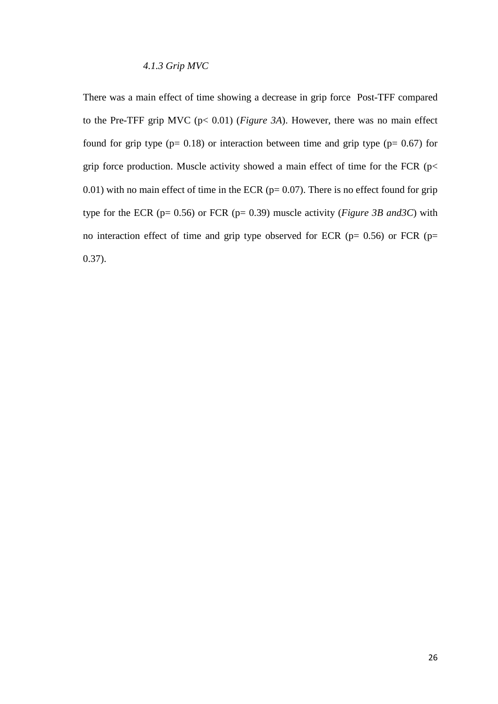## *4.1.3 Grip MVC*

There was a main effect of time showing a decrease in grip force Post-TFF compared to the Pre-TFF grip MVC (p< 0.01) (*Figure 3A*). However, there was no main effect found for grip type  $(p= 0.18)$  or interaction between time and grip type  $(p= 0.67)$  for grip force production. Muscle activity showed a main effect of time for the FCR ( $p$ < 0.01) with no main effect of time in the ECR ( $p= 0.07$ ). There is no effect found for grip type for the ECR (p= 0.56) or FCR (p= 0.39) muscle activity (*Figure 3B and3C*) with no interaction effect of time and grip type observed for ECR ( $p= 0.56$ ) or FCR ( $p=$ 0.37).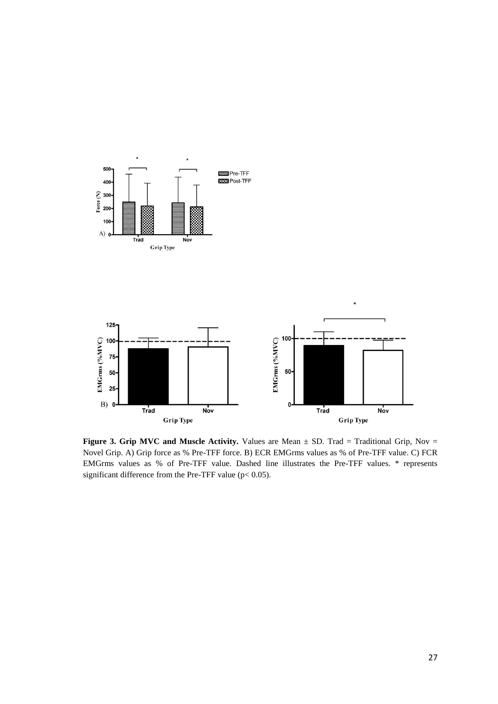

**Figure 3. Grip MVC and Muscle Activity.** Values are Mean  $\pm$  SD. Trad = Traditional Grip, Nov = Novel Grip. A) Grip force as % Pre-TFF force. B) ECR EMGrms values as % of Pre-TFF value. C) FCR EMGrms values as % of Pre-TFF value. Dashed line illustrates the Pre-TFF values. \* represents significant difference from the Pre-TFF value ( $p$  < 0.05).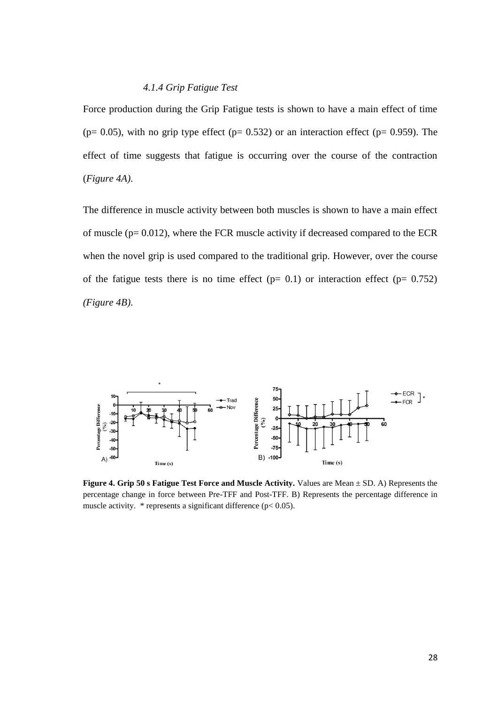#### *4.1.4 Grip Fatigue Test*

Force production during the Grip Fatigue tests is shown to have a main effect of time ( $p= 0.05$ ), with no grip type effect ( $p= 0.532$ ) or an interaction effect ( $p= 0.959$ ). The effect of time suggests that fatigue is occurring over the course of the contraction (*Figure 4A)*.

The difference in muscle activity between both muscles is shown to have a main effect of muscle ( $p= 0.012$ ), where the FCR muscle activity if decreased compared to the ECR when the novel grip is used compared to the traditional grip. However, over the course of the fatigue tests there is no time effect  $(p= 0.1)$  or interaction effect  $(p= 0.752)$ *(Figure 4B)*.



**Figure 4. Grip 50 s Fatigue Test Force and Muscle Activity.** Values are Mean ± SD. A) Represents the percentage change in force between Pre-TFF and Post-TFF. B) Represents the percentage difference in muscle activity.  $*$  represents a significant difference ( $p < 0.05$ ).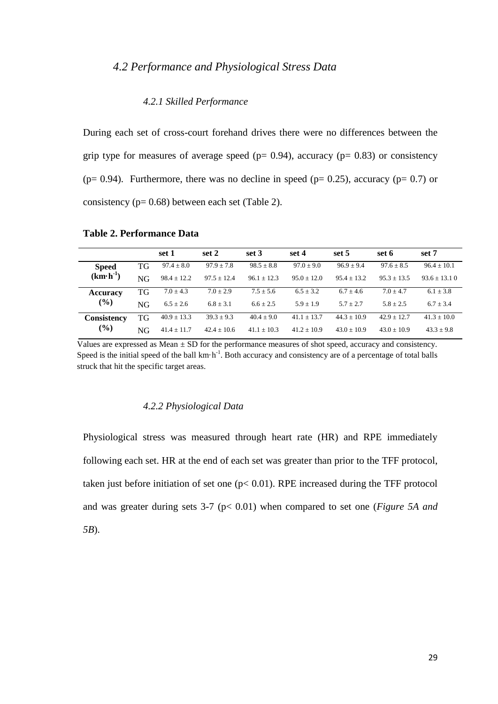# *4.2 Performance and Physiological Stress Data*

#### *4.2.1 Skilled Performance*

During each set of cross-court forehand drives there were no differences between the grip type for measures of average speed ( $p= 0.94$ ), accuracy ( $p= 0.83$ ) or consistency ( $p= 0.94$ ). Furthermore, there was no decline in speed ( $p= 0.25$ ), accuracy ( $p= 0.7$ ) or consistency (p= 0.68) between each set (Table 2).

|                    |    | set 1           | set 2           | set 3           | set 4           | set 5           | set 6         | set 7             |
|--------------------|----|-----------------|-----------------|-----------------|-----------------|-----------------|---------------|-------------------|
| <b>Speed</b>       | TG | $97.4 \pm 8.0$  | $97.9 + 7.8$    | $98.5 \pm 8.8$  | $97.0 + 9.0$    | $96.9 + 9.4$    | $97.6 + 8.5$  | $96.4 + 10.1$     |
| $(km\cdot h^{-1})$ | NG | $98.4 \pm 12.2$ | $97.5 \pm 12.4$ | $96.1 \pm 12.3$ | $95.0 \pm 12.0$ | $95.4 + 13.2$   | $95.3 + 13.5$ | $93.6 \pm 13.1$ 0 |
| <b>Accuracy</b>    | TG | $7.0 + 4.3$     | $7.0 + 2.9$     | $7.5 \pm 5.6$   | $6.5 \pm 3.2$   | $6.7 + 4.6$     | $7.0 + 4.7$   | $6.1 \pm 3.8$     |
| (%)                | NG | $6.5 \pm 2.6$   | $6.8 \pm 3.1$   | $6.6 \pm 2.5$   | $5.9 \pm 1.9$   | $5.7 + 2.7$     | $5.8 + 2.5$   | $6.7 \pm 3.4$     |
| <b>Consistency</b> | TG | $40.9 \pm 13.3$ | $39.3 + 9.3$    | $40.4 + 9.0$    | $41.1 \pm 13.7$ | $44.3 \pm 10.9$ | $42.9 + 12.7$ | $41.3 + 10.0$     |
| (%)                | NG | $41.4 \pm 11.7$ | $42.4 \pm 10.6$ | $41.1 \pm 10.3$ | $41.2 \pm 10.9$ | $43.0 + 10.9$   | $43.0 + 10.9$ | $43.3 \pm 9.8$    |

## **Table 2. Performance Data**

Values are expressed as Mean  $\pm$  SD for the performance measures of shot speed, accuracy and consistency. Speed is the initial speed of the ball  $km \cdot h^{-1}$ . Both accuracy and consistency are of a percentage of total balls struck that hit the specific target areas.

#### *4.2.2 Physiological Data*

Physiological stress was measured through heart rate (HR) and RPE immediately following each set. HR at the end of each set was greater than prior to the TFF protocol, taken just before initiation of set one  $(p< 0.01)$ . RPE increased during the TFF protocol and was greater during sets 3-7 (p< 0.01) when compared to set one (*Figure 5A and 5B*).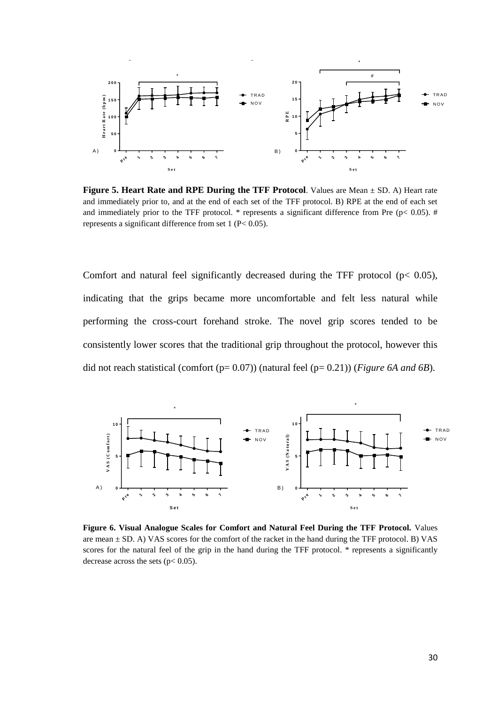

**Figure 5. Heart Rate and RPE During the TFF Protocol**. Values are Mean ± SD. A) Heart rate and immediately prior to, and at the end of each set of the TFF protocol. B) RPE at the end of each set and immediately prior to the TFF protocol.  $*$  represents a significant difference from Pre (p< 0.05). # represents a significant difference from set 1 (P< 0.05).

Comfort and natural feel significantly decreased during the TFF protocol ( $p < 0.05$ ), indicating that the grips became more uncomfortable and felt less natural while performing the cross-court forehand stroke. The novel grip scores tended to be consistently lower scores that the traditional grip throughout the protocol, however this did not reach statistical (comfort (p= 0.07)) (natural feel (p= 0.21)) (*Figure 6A and 6B*).



**Figure 6. Visual Analogue Scales for Comfort and Natural Feel During the TFF Protocol.** Values are mean  $\pm$  SD. A) VAS scores for the comfort of the racket in the hand during the TFF protocol. B) VAS scores for the natural feel of the grip in the hand during the TFF protocol. \* represents a significantly decrease across the sets ( $p < 0.05$ ).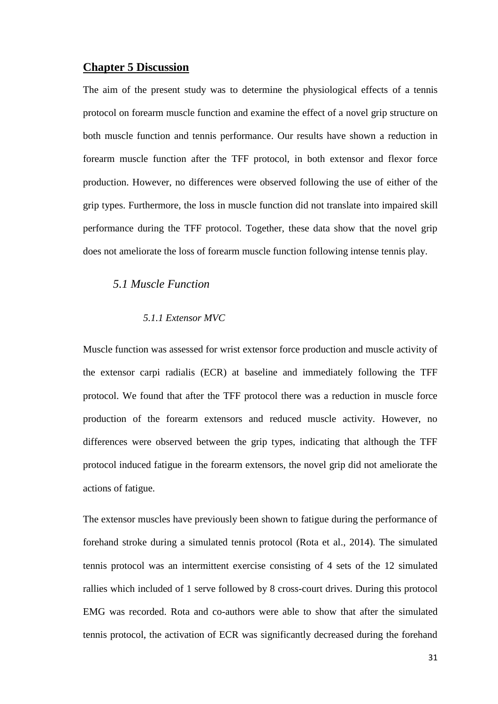### **Chapter 5 Discussion**

The aim of the present study was to determine the physiological effects of a tennis protocol on forearm muscle function and examine the effect of a novel grip structure on both muscle function and tennis performance. Our results have shown a reduction in forearm muscle function after the TFF protocol, in both extensor and flexor force production. However, no differences were observed following the use of either of the grip types. Furthermore, the loss in muscle function did not translate into impaired skill performance during the TFF protocol. Together, these data show that the novel grip does not ameliorate the loss of forearm muscle function following intense tennis play.

## *5.1 Muscle Function*

## *5.1.1 Extensor MVC*

Muscle function was assessed for wrist extensor force production and muscle activity of the extensor carpi radialis (ECR) at baseline and immediately following the TFF protocol. We found that after the TFF protocol there was a reduction in muscle force production of the forearm extensors and reduced muscle activity. However, no differences were observed between the grip types, indicating that although the TFF protocol induced fatigue in the forearm extensors, the novel grip did not ameliorate the actions of fatigue.

The extensor muscles have previously been shown to fatigue during the performance of forehand stroke during a simulated tennis protocol (Rota et al., 2014). The simulated tennis protocol was an intermittent exercise consisting of 4 sets of the 12 simulated rallies which included of 1 serve followed by 8 cross-court drives. During this protocol EMG was recorded. Rota and co-authors were able to show that after the simulated tennis protocol, the activation of ECR was significantly decreased during the forehand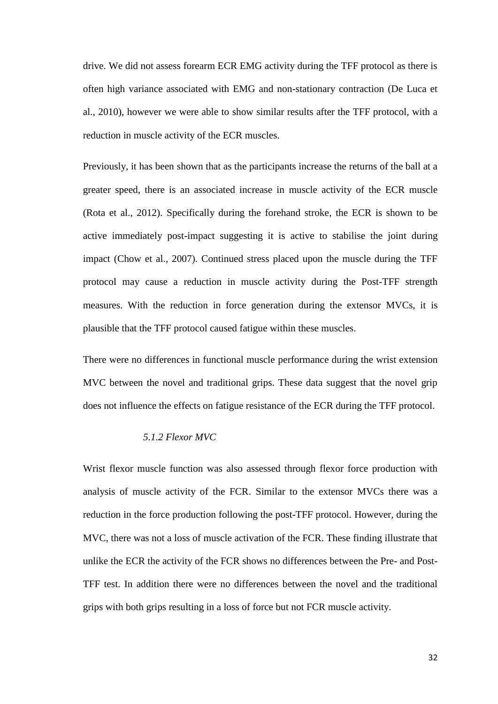drive. We did not assess forearm ECR EMG activity during the TFF protocol as there is often high variance associated with EMG and non-stationary contraction (De Luca et al., 2010), however we were able to show similar results after the TFF protocol, with a reduction in muscle activity of the ECR muscles.

Previously, it has been shown that as the participants increase the returns of the ball at a greater speed, there is an associated increase in muscle activity of the ECR muscle (Rota et al., 2012). Specifically during the forehand stroke, the ECR is shown to be active immediately post-impact suggesting it is active to stabilise the joint during impact (Chow et al., 2007). Continued stress placed upon the muscle during the TFF protocol may cause a reduction in muscle activity during the Post-TFF strength measures. With the reduction in force generation during the extensor MVCs, it is plausible that the TFF protocol caused fatigue within these muscles.

There were no differences in functional muscle performance during the wrist extension MVC between the novel and traditional grips. These data suggest that the novel grip does not influence the effects on fatigue resistance of the ECR during the TFF protocol.

## *5.1.2 Flexor MVC*

Wrist flexor muscle function was also assessed through flexor force production with analysis of muscle activity of the FCR. Similar to the extensor MVCs there was a reduction in the force production following the post-TFF protocol. However, during the MVC, there was not a loss of muscle activation of the FCR. These finding illustrate that unlike the ECR the activity of the FCR shows no differences between the Pre- and Post-TFF test. In addition there were no differences between the novel and the traditional grips with both grips resulting in a loss of force but not FCR muscle activity.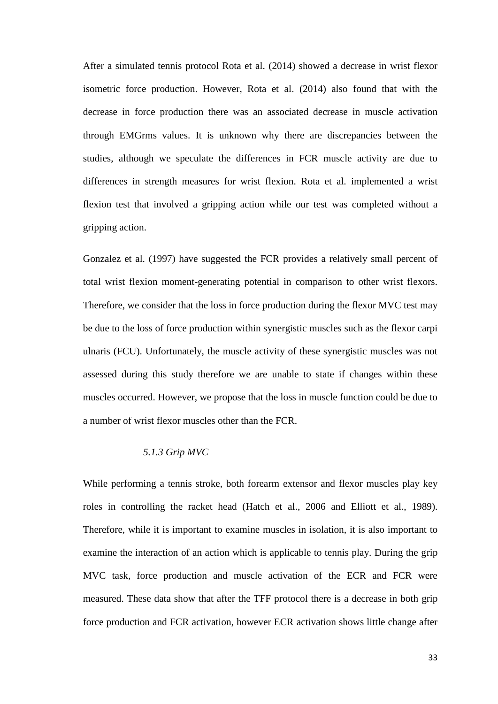After a simulated tennis protocol Rota et al. (2014) showed a decrease in wrist flexor isometric force production. However, Rota et al. (2014) also found that with the decrease in force production there was an associated decrease in muscle activation through EMGrms values. It is unknown why there are discrepancies between the studies, although we speculate the differences in FCR muscle activity are due to differences in strength measures for wrist flexion. Rota et al. implemented a wrist flexion test that involved a gripping action while our test was completed without a gripping action.

Gonzalez et al. (1997) have suggested the FCR provides a relatively small percent of total wrist flexion moment-generating potential in comparison to other wrist flexors. Therefore, we consider that the loss in force production during the flexor MVC test may be due to the loss of force production within synergistic muscles such as the flexor carpi ulnaris (FCU). Unfortunately, the muscle activity of these synergistic muscles was not assessed during this study therefore we are unable to state if changes within these muscles occurred. However, we propose that the loss in muscle function could be due to a number of wrist flexor muscles other than the FCR.

### *5.1.3 Grip MVC*

While performing a tennis stroke, both forearm extensor and flexor muscles play key roles in controlling the racket head (Hatch et al., 2006 and Elliott et al., 1989). Therefore, while it is important to examine muscles in isolation, it is also important to examine the interaction of an action which is applicable to tennis play. During the grip MVC task, force production and muscle activation of the ECR and FCR were measured. These data show that after the TFF protocol there is a decrease in both grip force production and FCR activation, however ECR activation shows little change after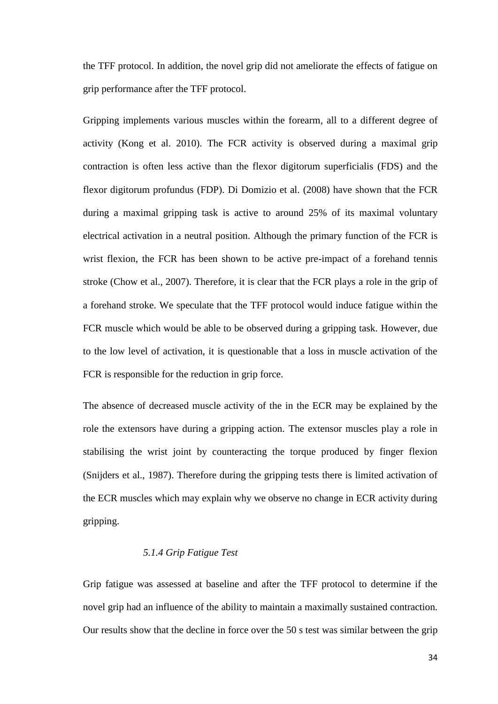the TFF protocol. In addition, the novel grip did not ameliorate the effects of fatigue on grip performance after the TFF protocol.

Gripping implements various muscles within the forearm, all to a different degree of activity (Kong et al. 2010). The FCR activity is observed during a maximal grip contraction is often less active than the flexor digitorum superficialis (FDS) and the flexor digitorum profundus (FDP). Di Domizio et al. (2008) have shown that the FCR during a maximal gripping task is active to around 25% of its maximal voluntary electrical activation in a neutral position. Although the primary function of the FCR is wrist flexion, the FCR has been shown to be active pre-impact of a forehand tennis stroke (Chow et al., 2007). Therefore, it is clear that the FCR plays a role in the grip of a forehand stroke. We speculate that the TFF protocol would induce fatigue within the FCR muscle which would be able to be observed during a gripping task. However, due to the low level of activation, it is questionable that a loss in muscle activation of the FCR is responsible for the reduction in grip force.

The absence of decreased muscle activity of the in the ECR may be explained by the role the extensors have during a gripping action. The extensor muscles play a role in stabilising the wrist joint by counteracting the torque produced by finger flexion (Snijders et al., 1987). Therefore during the gripping tests there is limited activation of the ECR muscles which may explain why we observe no change in ECR activity during gripping.

### *5.1.4 Grip Fatigue Test*

Grip fatigue was assessed at baseline and after the TFF protocol to determine if the novel grip had an influence of the ability to maintain a maximally sustained contraction. Our results show that the decline in force over the 50 s test was similar between the grip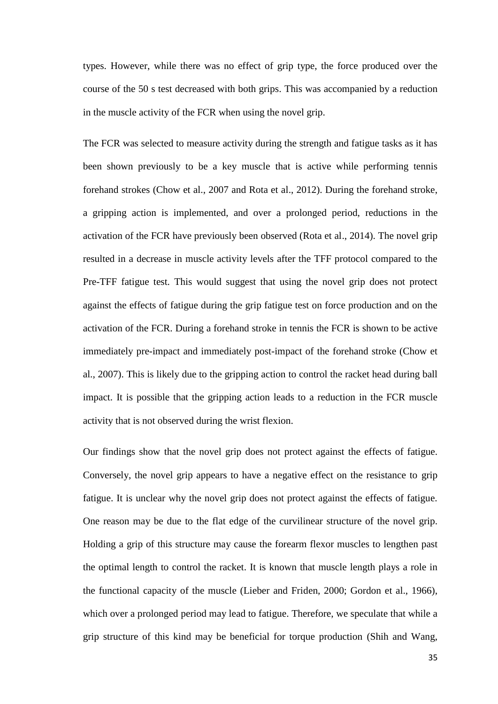types. However, while there was no effect of grip type, the force produced over the course of the 50 s test decreased with both grips. This was accompanied by a reduction in the muscle activity of the FCR when using the novel grip.

The FCR was selected to measure activity during the strength and fatigue tasks as it has been shown previously to be a key muscle that is active while performing tennis forehand strokes (Chow et al., 2007 and Rota et al., 2012). During the forehand stroke, a gripping action is implemented, and over a prolonged period, reductions in the activation of the FCR have previously been observed (Rota et al., 2014). The novel grip resulted in a decrease in muscle activity levels after the TFF protocol compared to the Pre-TFF fatigue test. This would suggest that using the novel grip does not protect against the effects of fatigue during the grip fatigue test on force production and on the activation of the FCR. During a forehand stroke in tennis the FCR is shown to be active immediately pre-impact and immediately post-impact of the forehand stroke (Chow et al., 2007). This is likely due to the gripping action to control the racket head during ball impact. It is possible that the gripping action leads to a reduction in the FCR muscle activity that is not observed during the wrist flexion.

Our findings show that the novel grip does not protect against the effects of fatigue. Conversely, the novel grip appears to have a negative effect on the resistance to grip fatigue. It is unclear why the novel grip does not protect against the effects of fatigue. One reason may be due to the flat edge of the curvilinear structure of the novel grip. Holding a grip of this structure may cause the forearm flexor muscles to lengthen past the optimal length to control the racket. It is known that muscle length plays a role in the functional capacity of the muscle (Lieber and Friden, 2000; Gordon et al., 1966), which over a prolonged period may lead to fatigue. Therefore, we speculate that while a grip structure of this kind may be beneficial for torque production (Shih and Wang,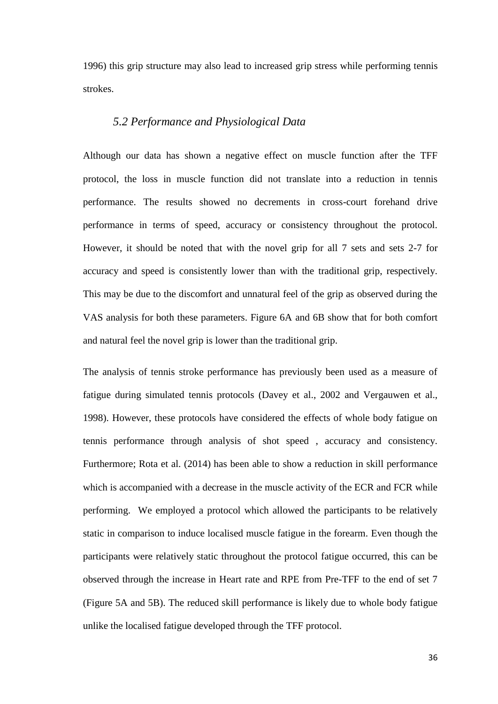1996) this grip structure may also lead to increased grip stress while performing tennis strokes.

## *5.2 Performance and Physiological Data*

Although our data has shown a negative effect on muscle function after the TFF protocol, the loss in muscle function did not translate into a reduction in tennis performance. The results showed no decrements in cross-court forehand drive performance in terms of speed, accuracy or consistency throughout the protocol. However, it should be noted that with the novel grip for all 7 sets and sets 2-7 for accuracy and speed is consistently lower than with the traditional grip, respectively. This may be due to the discomfort and unnatural feel of the grip as observed during the VAS analysis for both these parameters. Figure 6A and 6B show that for both comfort and natural feel the novel grip is lower than the traditional grip.

The analysis of tennis stroke performance has previously been used as a measure of fatigue during simulated tennis protocols (Davey et al., 2002 and Vergauwen et al., 1998). However, these protocols have considered the effects of whole body fatigue on tennis performance through analysis of shot speed , accuracy and consistency. Furthermore; Rota et al. (2014) has been able to show a reduction in skill performance which is accompanied with a decrease in the muscle activity of the ECR and FCR while performing. We employed a protocol which allowed the participants to be relatively static in comparison to induce localised muscle fatigue in the forearm. Even though the participants were relatively static throughout the protocol fatigue occurred, this can be observed through the increase in Heart rate and RPE from Pre-TFF to the end of set 7 (Figure 5A and 5B). The reduced skill performance is likely due to whole body fatigue unlike the localised fatigue developed through the TFF protocol.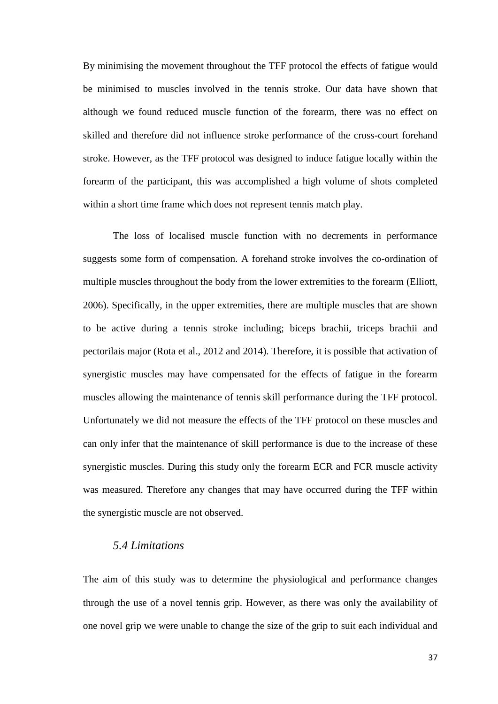By minimising the movement throughout the TFF protocol the effects of fatigue would be minimised to muscles involved in the tennis stroke. Our data have shown that although we found reduced muscle function of the forearm, there was no effect on skilled and therefore did not influence stroke performance of the cross-court forehand stroke. However, as the TFF protocol was designed to induce fatigue locally within the forearm of the participant, this was accomplished a high volume of shots completed within a short time frame which does not represent tennis match play.

The loss of localised muscle function with no decrements in performance suggests some form of compensation. A forehand stroke involves the co-ordination of multiple muscles throughout the body from the lower extremities to the forearm (Elliott, 2006). Specifically, in the upper extremities, there are multiple muscles that are shown to be active during a tennis stroke including; biceps brachii, triceps brachii and pectorilais major (Rota et al., 2012 and 2014). Therefore, it is possible that activation of synergistic muscles may have compensated for the effects of fatigue in the forearm muscles allowing the maintenance of tennis skill performance during the TFF protocol. Unfortunately we did not measure the effects of the TFF protocol on these muscles and can only infer that the maintenance of skill performance is due to the increase of these synergistic muscles. During this study only the forearm ECR and FCR muscle activity was measured. Therefore any changes that may have occurred during the TFF within the synergistic muscle are not observed.

## *5.4 Limitations*

The aim of this study was to determine the physiological and performance changes through the use of a novel tennis grip. However, as there was only the availability of one novel grip we were unable to change the size of the grip to suit each individual and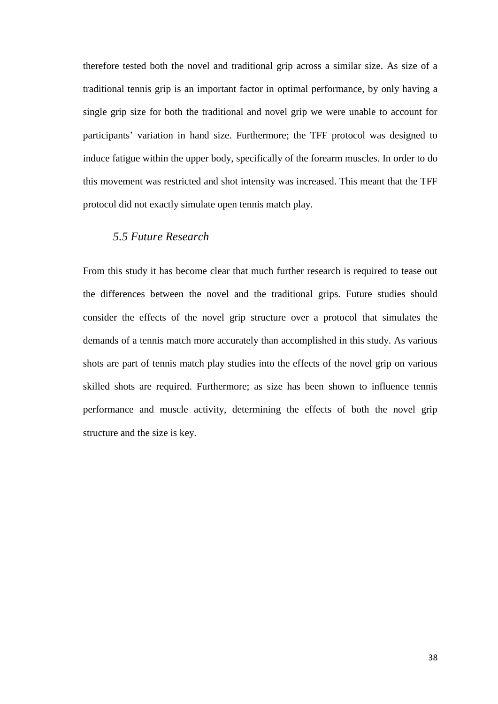therefore tested both the novel and traditional grip across a similar size. As size of a traditional tennis grip is an important factor in optimal performance, by only having a single grip size for both the traditional and novel grip we were unable to account for participants' variation in hand size. Furthermore; the TFF protocol was designed to induce fatigue within the upper body, specifically of the forearm muscles. In order to do this movement was restricted and shot intensity was increased. This meant that the TFF protocol did not exactly simulate open tennis match play.

# *5.5 Future Research*

From this study it has become clear that much further research is required to tease out the differences between the novel and the traditional grips. Future studies should consider the effects of the novel grip structure over a protocol that simulates the demands of a tennis match more accurately than accomplished in this study. As various shots are part of tennis match play studies into the effects of the novel grip on various skilled shots are required. Furthermore; as size has been shown to influence tennis performance and muscle activity, determining the effects of both the novel grip structure and the size is key.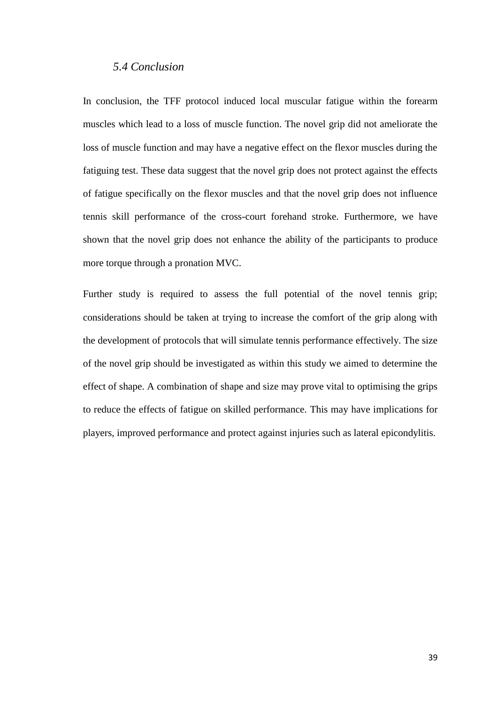## *5.4 Conclusion*

In conclusion, the TFF protocol induced local muscular fatigue within the forearm muscles which lead to a loss of muscle function. The novel grip did not ameliorate the loss of muscle function and may have a negative effect on the flexor muscles during the fatiguing test. These data suggest that the novel grip does not protect against the effects of fatigue specifically on the flexor muscles and that the novel grip does not influence tennis skill performance of the cross-court forehand stroke. Furthermore, we have shown that the novel grip does not enhance the ability of the participants to produce more torque through a pronation MVC.

Further study is required to assess the full potential of the novel tennis grip; considerations should be taken at trying to increase the comfort of the grip along with the development of protocols that will simulate tennis performance effectively. The size of the novel grip should be investigated as within this study we aimed to determine the effect of shape. A combination of shape and size may prove vital to optimising the grips to reduce the effects of fatigue on skilled performance. This may have implications for players, improved performance and protect against injuries such as lateral epicondylitis.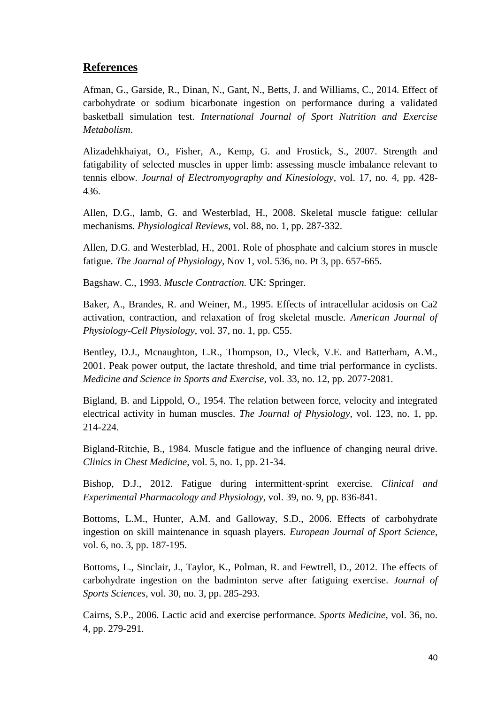# **References**

Afman, G., Garside, R., Dinan, N., Gant, N., Betts, J. and Williams, C., 2014. Effect of carbohydrate or sodium bicarbonate ingestion on performance during a validated basketball simulation test. *International Journal of Sport Nutrition and Exercise Metabolism*.

Alizadehkhaiyat, O., Fisher, A., Kemp, G. and Frostick, S., 2007. Strength and fatigability of selected muscles in upper limb: assessing muscle imbalance relevant to tennis elbow*. Journal of Electromyography and Kinesiology*, vol. 17, no. 4, pp. 428- 436.

Allen, D.G., lamb, G. and Westerblad, H., 2008. Skeletal muscle fatigue: cellular mechanisms*. Physiological Reviews*, vol. 88, no. 1, pp. 287-332.

Allen, D.G. and Westerblad, H., 2001. Role of phosphate and calcium stores in muscle fatigue*. The Journal of Physiology*, Nov 1, vol. 536, no. Pt 3, pp. 657-665.

Bagshaw. C., 1993. *Muscle Contraction.* UK: Springer.

Baker, A., Brandes, R. and Weiner, M., 1995. Effects of intracellular acidosis on Ca2 activation, contraction, and relaxation of frog skeletal muscle*. American Journal of Physiology-Cell Physiology*, vol. 37, no. 1, pp. C55.

Bentley, D.J., Mcnaughton, L.R., Thompson, D., Vleck, V.E. and Batterham, A.M., 2001. Peak power output, the lactate threshold, and time trial performance in cyclists*. Medicine and Science in Sports and Exercise*, vol. 33, no. 12, pp. 2077-2081.

Bigland, B. and Lippold, O., 1954. The relation between force, velocity and integrated electrical activity in human muscles*. The Journal of Physiology*, vol. 123, no. 1, pp. 214-224.

Bigland-Ritchie, B., 1984. Muscle fatigue and the influence of changing neural drive. *Clinics in Chest Medicine*, vol. 5, no. 1, pp. 21-34.

Bishop, D.J., 2012. Fatigue during intermittent‐sprint exercise*. Clinical and Experimental Pharmacology and Physiology*, vol. 39, no. 9, pp. 836-841.

Bottoms, L.M., Hunter, A.M. and Galloway, S.D., 2006. Effects of carbohydrate ingestion on skill maintenance in squash players*. European Journal of Sport Science*, vol. 6, no. 3, pp. 187-195.

Bottoms, L., Sinclair, J., Taylor, K., Polman, R. and Fewtrell, D., 2012. The effects of carbohydrate ingestion on the badminton serve after fatiguing exercise*. Journal of Sports Sciences*, vol. 30, no. 3, pp. 285-293.

Cairns, S.P., 2006. Lactic acid and exercise performance*. Sports Medicine*, vol. 36, no. 4, pp. 279-291.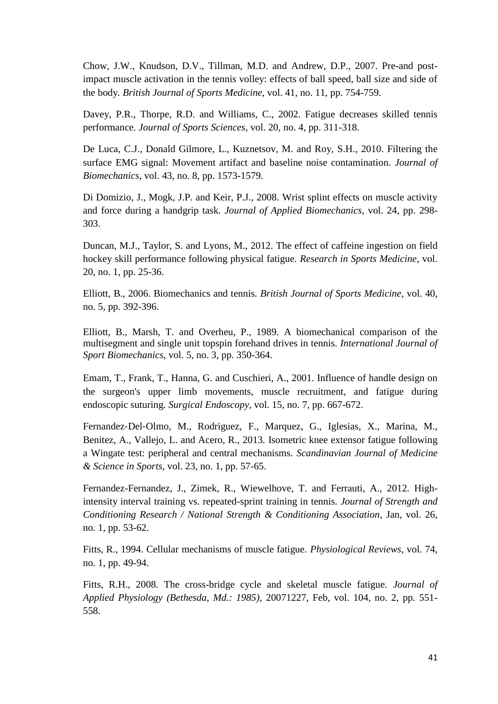Chow, J.W., Knudson, D.V., Tillman, M.D. and Andrew, D.P., 2007. Pre-and postimpact muscle activation in the tennis volley: effects of ball speed, ball size and side of the body*. British Journal of Sports Medicine*, vol. 41, no. 11, pp. 754-759.

Davey, P.R., Thorpe, R.D. and Williams, C., 2002. Fatigue decreases skilled tennis performance*. Journal of Sports Sciences*, vol. 20, no. 4, pp. 311-318.

De Luca, C.J., Donald Gilmore, L., Kuznetsov, M. and Roy, S.H., 2010. Filtering the surface EMG signal: Movement artifact and baseline noise contamination*. Journal of Biomechanics*, vol. 43, no. 8, pp. 1573-1579.

Di Domizio, J., Mogk, J.P. and Keir, P.J., 2008. Wrist splint effects on muscle activity and force during a handgrip task*. Journal of Applied Biomechanics*, vol. 24, pp. 298- 303.

Duncan, M.J., Taylor, S. and Lyons, M., 2012. The effect of caffeine ingestion on field hockey skill performance following physical fatigue*. Research in Sports Medicine*, vol. 20, no. 1, pp. 25-36.

Elliott, B., 2006. Biomechanics and tennis*. British Journal of Sports Medicine*, vol. 40, no. 5, pp. 392-396.

Elliott, B., Marsh, T. and Overheu, P., 1989. A biomechanical comparison of the multisegment and single unit topspin forehand drives in tennis*. International Journal of Sport Biomechanics*, vol. 5, no. 3, pp. 350-364.

Emam, T., Frank, T., Hanna, G. and Cuschieri, A., 2001. Influence of handle design on the surgeon's upper limb movements, muscle recruitment, and fatigue during endoscopic suturing*. Surgical Endoscopy*, vol. 15, no. 7, pp. 667-672.

Fernandez‐Del‐Olmo, M., Rodriguez, F., Marquez, G., Iglesias, X., Marina, M., Benitez, A., Vallejo, L. and Acero, R., 2013. Isometric knee extensor fatigue following a Wingate test: peripheral and central mechanisms*. Scandinavian Journal of Medicine & Science in Sports*, vol. 23, no. 1, pp. 57-65.

Fernandez-Fernandez, J., Zimek, R., Wiewelhove, T. and Ferrauti, A., 2012. Highintensity interval training vs. repeated-sprint training in tennis*. Journal of Strength and Conditioning Research / National Strength & Conditioning Association*, Jan, vol. 26, no. 1, pp. 53-62.

Fitts, R., 1994. Cellular mechanisms of muscle fatigue*. Physiological Reviews*, vol. 74, no. 1, pp. 49-94.

Fitts, R.H., 2008. The cross-bridge cycle and skeletal muscle fatigue*. Journal of Applied Physiology (Bethesda, Md.: 1985)*, 20071227, Feb, vol. 104, no. 2, pp. 551- 558.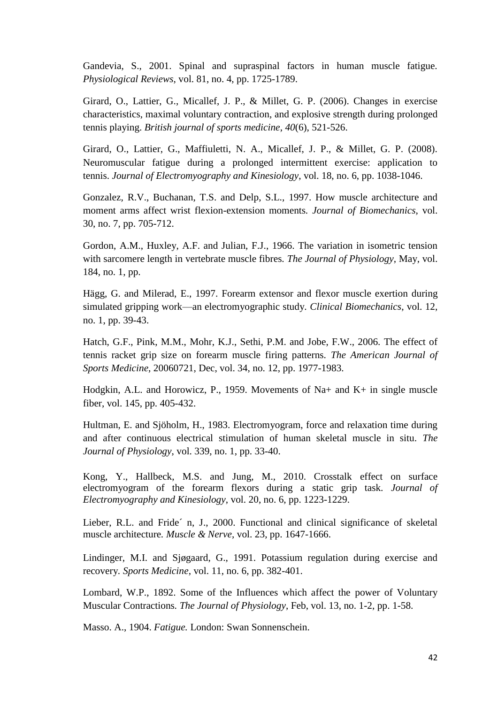Gandevia, S., 2001. Spinal and supraspinal factors in human muscle fatigue*. Physiological Reviews*, vol. 81, no. 4, pp. 1725-1789.

Girard, O., Lattier, G., Micallef, J. P., & Millet, G. P. (2006). Changes in exercise characteristics, maximal voluntary contraction, and explosive strength during prolonged tennis playing. *British journal of sports medicine*, *40*(6), 521-526.

Girard, O., Lattier, G., Maffiuletti, N. A., Micallef, J. P., & Millet, G. P. (2008). Neuromuscular fatigue during a prolonged intermittent exercise: application to tennis. *Journal of Electromyography and Kinesiology*, vol. 18, no. 6, pp. 1038-1046.

Gonzalez, R.V., Buchanan, T.S. and Delp, S.L., 1997. How muscle architecture and moment arms affect wrist flexion-extension moments*. Journal of Biomechanics*, vol. 30, no. 7, pp. 705-712.

Gordon, A.M., Huxley, A.F. and Julian, F.J., 1966. The variation in isometric tension with sarcomere length in vertebrate muscle fibres*. The Journal of Physiology*, May, vol. 184, no. 1, pp.

Hägg, G. and Milerad, E., 1997. Forearm extensor and flexor muscle exertion during simulated gripping work—an electromyographic study*. Clinical Biomechanics*, vol. 12, no. 1, pp. 39-43.

Hatch, G.F., Pink, M.M., Mohr, K.J., Sethi, P.M. and Jobe, F.W., 2006. The effect of tennis racket grip size on forearm muscle firing patterns*. The American Journal of Sports Medicine*, 20060721, Dec, vol. 34, no. 12, pp. 1977-1983.

Hodgkin, A.L. and Horowicz, P., 1959. Movements of Na+ and K+ in single muscle fiber, vol. 145, pp. 405-432.

Hultman, E. and Sjöholm, H., 1983. Electromyogram, force and relaxation time during and after continuous electrical stimulation of human skeletal muscle in situ. *The Journal of Physiology*, vol. 339, no. 1, pp. 33-40.

Kong, Y., Hallbeck, M.S. and Jung, M., 2010. Crosstalk effect on surface electromyogram of the forearm flexors during a static grip task*. Journal of Electromyography and Kinesiology*, vol. 20, no. 6, pp. 1223-1229.

Lieber, R.L. and Fride´ n, J., 2000. Functional and clinical significance of skeletal muscle architecture*. Muscle & Nerve*, vol. 23, pp. 1647-1666.

Lindinger, M.I. and Sjøgaard, G., 1991. Potassium regulation during exercise and recovery*. Sports Medicine*, vol. 11, no. 6, pp. 382-401.

Lombard, W.P., 1892. Some of the Influences which affect the power of Voluntary Muscular Contractions*. The Journal of Physiology*, Feb, vol. 13, no. 1-2, pp. 1-58.

Masso. A., 1904. *Fatigue.* London: Swan Sonnenschein.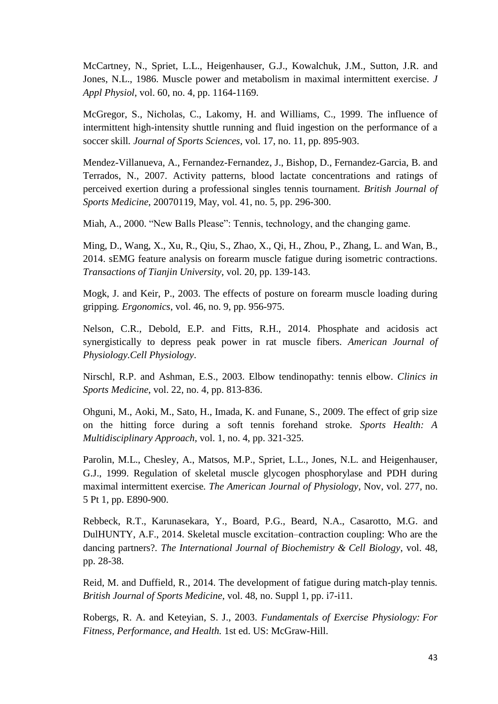McCartney, N., Spriet, L.L., Heigenhauser, G.J., Kowalchuk, J.M., Sutton, J.R. and Jones, N.L., 1986. Muscle power and metabolism in maximal intermittent exercise*. J Appl Physiol*, vol. 60, no. 4, pp. 1164-1169.

McGregor, S., Nicholas, C., Lakomy, H. and Williams, C., 1999. The influence of intermittent high-intensity shuttle running and fluid ingestion on the performance of a soccer skill*. Journal of Sports Sciences*, vol. 17, no. 11, pp. 895-903.

Mendez-Villanueva, A., Fernandez-Fernandez, J., Bishop, D., Fernandez-Garcia, B. and Terrados, N., 2007. Activity patterns, blood lactate concentrations and ratings of perceived exertion during a professional singles tennis tournament*. British Journal of Sports Medicine*, 20070119, May, vol. 41, no. 5, pp. 296-300.

Miah, A., 2000. "New Balls Please": Tennis, technology, and the changing game.

Ming, D., Wang, X., Xu, R., Qiu, S., Zhao, X., Qi, H., Zhou, P., Zhang, L. and Wan, B., 2014. sEMG feature analysis on forearm muscle fatigue during isometric contractions*. Transactions of Tianjin University*, vol. 20, pp. 139-143.

Mogk, J. and Keir, P., 2003. The effects of posture on forearm muscle loading during gripping*. Ergonomics*, vol. 46, no. 9, pp. 956-975.

Nelson, C.R., Debold, E.P. and Fitts, R.H., 2014. Phosphate and acidosis act synergistically to depress peak power in rat muscle fibers*. American Journal of Physiology.Cell Physiology*.

Nirschl, R.P. and Ashman, E.S., 2003. Elbow tendinopathy: tennis elbow*. Clinics in Sports Medicine*, vol. 22, no. 4, pp. 813-836.

Ohguni, M., Aoki, M., Sato, H., Imada, K. and Funane, S., 2009. The effect of grip size on the hitting force during a soft tennis forehand stroke*. Sports Health: A Multidisciplinary Approach*, vol. 1, no. 4, pp. 321-325.

Parolin, M.L., Chesley, A., Matsos, M.P., Spriet, L.L., Jones, N.L. and Heigenhauser, G.J., 1999. Regulation of skeletal muscle glycogen phosphorylase and PDH during maximal intermittent exercise*. The American Journal of Physiology*, Nov, vol. 277, no. 5 Pt 1, pp. E890-900.

Rebbeck, R.T., Karunasekara, Y., Board, P.G., Beard, N.A., Casarotto, M.G. and DulHUNTY, A.F., 2014. Skeletal muscle excitation–contraction coupling: Who are the dancing partners?*. The International Journal of Biochemistry & Cell Biology*, vol. 48, pp. 28-38.

Reid, M. and Duffield, R., 2014. The development of fatigue during match-play tennis*. British Journal of Sports Medicine*, vol. 48, no. Suppl 1, pp. i7-i11.

Robergs, R. A. and Keteyian, S. J., 2003. *Fundamentals of Exercise Physiology: For Fitness, Performance, and Health.* 1st ed. US: McGraw-Hill.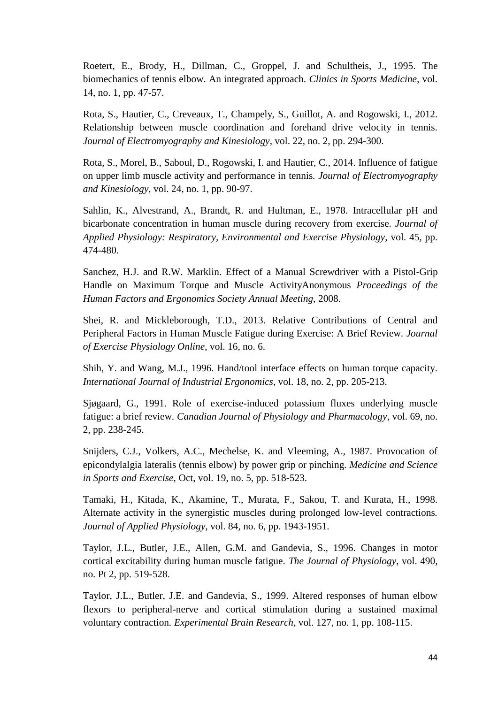Roetert, E., Brody, H., Dillman, C., Groppel, J. and Schultheis, J., 1995. The biomechanics of tennis elbow. An integrated approach. *Clinics in Sports Medicine*, vol. 14, no. 1, pp. 47-57.

Rota, S., Hautier, C., Creveaux, T., Champely, S., Guillot, A. and Rogowski, I., 2012. Relationship between muscle coordination and forehand drive velocity in tennis*. Journal of Electromyography and Kinesiology*, vol. 22, no. 2, pp. 294-300.

Rota, S., Morel, B., Saboul, D., Rogowski, I. and Hautier, C., 2014. Influence of fatigue on upper limb muscle activity and performance in tennis*. Journal of Electromyography and Kinesiology*, vol. 24, no. 1, pp. 90-97.

Sahlin, K., Alvestrand, A., Brandt, R. and Hultman, E., 1978. Intracellular pH and bicarbonate concentration in human muscle during recovery from exercise*. Journal of Applied Physiology: Respiratory, Environmental and Exercise Physiology*, vol. 45, pp. 474-480.

Sanchez, H.J. and R.W. Marklin. Effect of a Manual Screwdriver with a Pistol-Grip Handle on Maximum Torque and Muscle ActivityAnonymous *Proceedings of the Human Factors and Ergonomics Society Annual Meeting*, 2008.

Shei, R. and Mickleborough, T.D., 2013. Relative Contributions of Central and Peripheral Factors in Human Muscle Fatigue during Exercise: A Brief Review. *Journal of Exercise Physiology Online*, vol. 16, no. 6.

Shih, Y. and Wang, M.J., 1996. Hand/tool interface effects on human torque capacity*. International Journal of Industrial Ergonomics*, vol. 18, no. 2, pp. 205-213.

Sjøgaard, G., 1991. Role of exercise-induced potassium fluxes underlying muscle fatigue: a brief review*. Canadian Journal of Physiology and Pharmacology*, vol. 69, no. 2, pp. 238-245.

Snijders, C.J., Volkers, A.C., Mechelse, K. and Vleeming, A., 1987. Provocation of epicondylalgia lateralis (tennis elbow) by power grip or pinching*. Medicine and Science in Sports and Exercise*, Oct, vol. 19, no. 5, pp. 518-523.

Tamaki, H., Kitada, K., Akamine, T., Murata, F., Sakou, T. and Kurata, H., 1998. Alternate activity in the synergistic muscles during prolonged low-level contractions*. Journal of Applied Physiology*, vol. 84, no. 6, pp. 1943-1951.

Taylor, J.L., Butler, J.E., Allen, G.M. and Gandevia, S., 1996. Changes in motor cortical excitability during human muscle fatigue. *The Journal of Physiology*, vol. 490, no. Pt 2, pp. 519-528.

Taylor, J.L., Butler, J.E. and Gandevia, S., 1999. Altered responses of human elbow flexors to peripheral-nerve and cortical stimulation during a sustained maximal voluntary contraction*. Experimental Brain Research*, vol. 127, no. 1, pp. 108-115.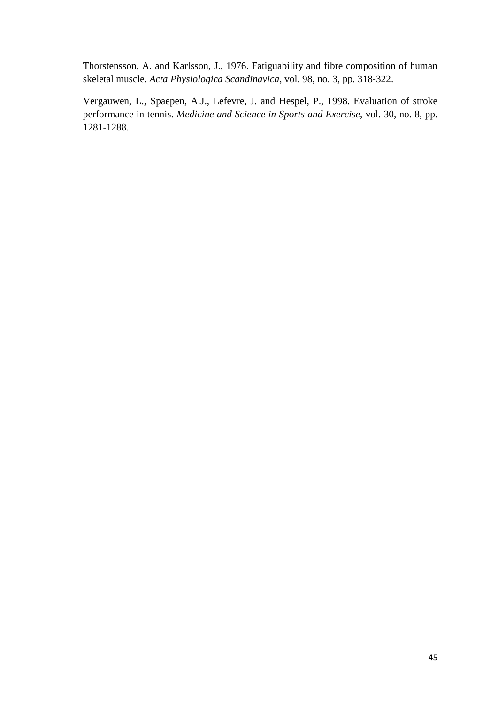Thorstensson, A. and Karlsson, J., 1976. Fatiguability and fibre composition of human skeletal muscle*. Acta Physiologica Scandinavica*, vol. 98, no. 3, pp. 318-322.

Vergauwen, L., Spaepen, A.J., Lefevre, J. and Hespel, P., 1998. Evaluation of stroke performance in tennis. *Medicine and Science in Sports and Exercise*, vol. 30, no. 8, pp. 1281-1288.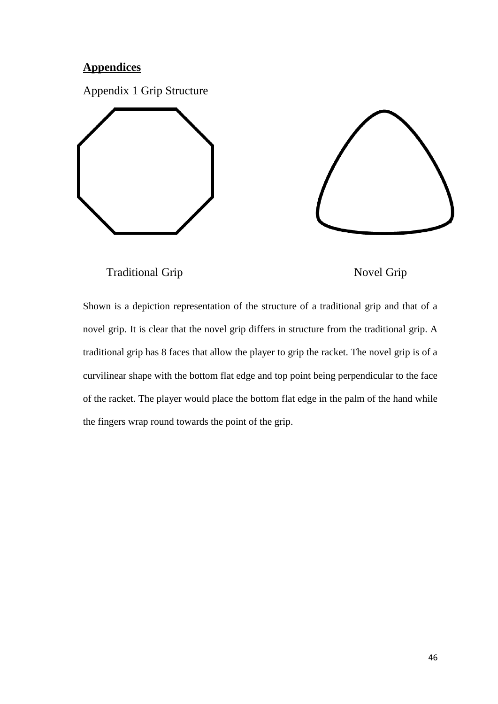# **Appendices**

Appendix 1 Grip Structure









Shown is a depiction representation of the structure of a traditional grip and that of a novel grip. It is clear that the novel grip differs in structure from the traditional grip. A traditional grip has 8 faces that allow the player to grip the racket. The novel grip is of a curvilinear shape with the bottom flat edge and top point being perpendicular to the face of the racket. The player would place the bottom flat edge in the palm of the hand while the fingers wrap round towards the point of the grip.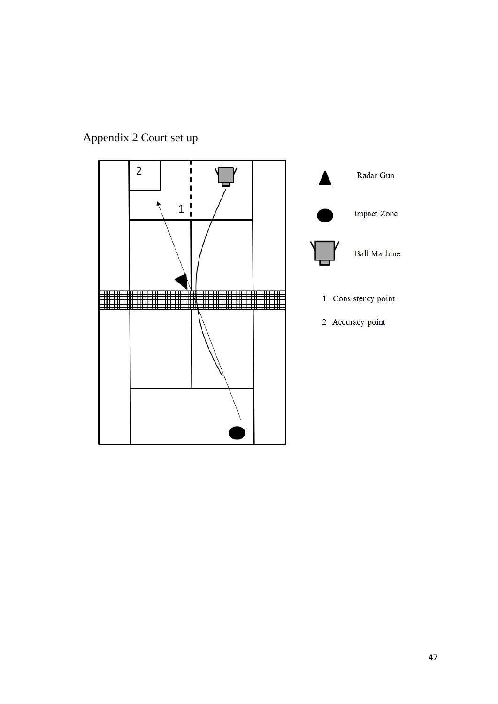

# Appendix 2 Court set up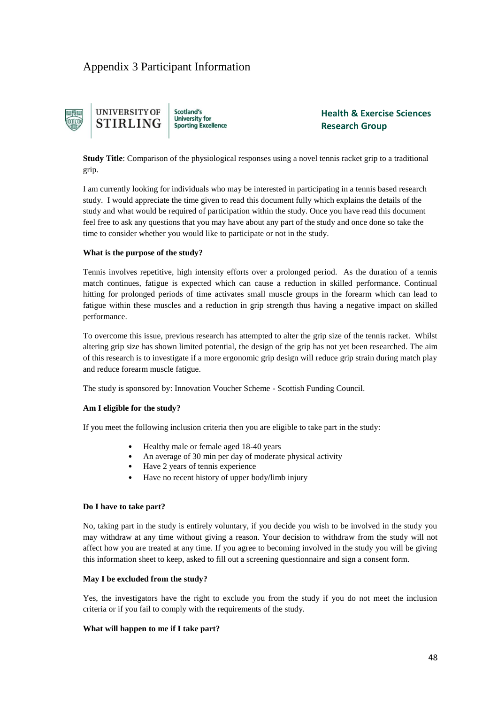# Appendix 3 Participant Information



**Health & Exercise Sciences Research Group**

**Study Title**: Comparison of the physiological responses using a novel tennis racket grip to a traditional grip.

I am currently looking for individuals who may be interested in participating in a tennis based research study. I would appreciate the time given to read this document fully which explains the details of the study and what would be required of participation within the study. Once you have read this document feel free to ask any questions that you may have about any part of the study and once done so take the time to consider whether you would like to participate or not in the study.

#### **What is the purpose of the study?**

Tennis involves repetitive, high intensity efforts over a prolonged period. As the duration of a tennis match continues, fatigue is expected which can cause a reduction in skilled performance. Continual hitting for prolonged periods of time activates small muscle groups in the forearm which can lead to fatigue within these muscles and a reduction in grip strength thus having a negative impact on skilled performance.

To overcome this issue, previous research has attempted to alter the grip size of the tennis racket. Whilst altering grip size has shown limited potential, the design of the grip has not yet been researched. The aim of this research is to investigate if a more ergonomic grip design will reduce grip strain during match play and reduce forearm muscle fatigue.

The study is sponsored by: Innovation Voucher Scheme - Scottish Funding Council.

#### **Am I eligible for the study?**

If you meet the following inclusion criteria then you are eligible to take part in the study:

- Healthy male or female aged 18-40 years
- An average of 30 min per day of moderate physical activity
- Have 2 years of tennis experience
- Have no recent history of upper body/limb injury

#### **Do I have to take part?**

No, taking part in the study is entirely voluntary, if you decide you wish to be involved in the study you may withdraw at any time without giving a reason. Your decision to withdraw from the study will not affect how you are treated at any time. If you agree to becoming involved in the study you will be giving this information sheet to keep, asked to fill out a screening questionnaire and sign a consent form.

#### **May I be excluded from the study?**

Yes, the investigators have the right to exclude you from the study if you do not meet the inclusion criteria or if you fail to comply with the requirements of the study.

#### **What will happen to me if I take part?**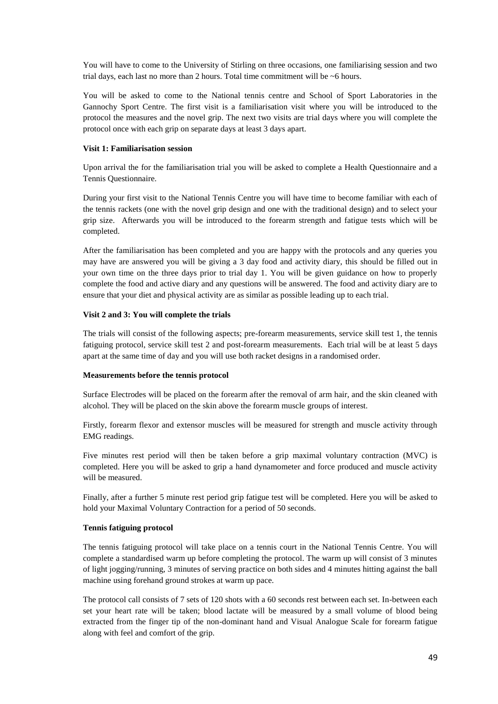You will have to come to the University of Stirling on three occasions, one familiarising session and two trial days, each last no more than 2 hours. Total time commitment will be ~6 hours.

You will be asked to come to the National tennis centre and School of Sport Laboratories in the Gannochy Sport Centre. The first visit is a familiarisation visit where you will be introduced to the protocol the measures and the novel grip. The next two visits are trial days where you will complete the protocol once with each grip on separate days at least 3 days apart.

#### **Visit 1: Familiarisation session**

Upon arrival the for the familiarisation trial you will be asked to complete a Health Questionnaire and a Tennis Questionnaire.

During your first visit to the National Tennis Centre you will have time to become familiar with each of the tennis rackets (one with the novel grip design and one with the traditional design) and to select your grip size. Afterwards you will be introduced to the forearm strength and fatigue tests which will be completed.

After the familiarisation has been completed and you are happy with the protocols and any queries you may have are answered you will be giving a 3 day food and activity diary, this should be filled out in your own time on the three days prior to trial day 1. You will be given guidance on how to properly complete the food and active diary and any questions will be answered. The food and activity diary are to ensure that your diet and physical activity are as similar as possible leading up to each trial.

#### **Visit 2 and 3: You will complete the trials**

The trials will consist of the following aspects; pre-forearm measurements, service skill test 1, the tennis fatiguing protocol, service skill test 2 and post-forearm measurements. Each trial will be at least 5 days apart at the same time of day and you will use both racket designs in a randomised order.

#### **Measurements before the tennis protocol**

Surface Electrodes will be placed on the forearm after the removal of arm hair, and the skin cleaned with alcohol. They will be placed on the skin above the forearm muscle groups of interest.

Firstly, forearm flexor and extensor muscles will be measured for strength and muscle activity through EMG readings.

Five minutes rest period will then be taken before a grip maximal voluntary contraction (MVC) is completed. Here you will be asked to grip a hand dynamometer and force produced and muscle activity will be measured.

Finally, after a further 5 minute rest period grip fatigue test will be completed. Here you will be asked to hold your Maximal Voluntary Contraction for a period of 50 seconds.

#### **Tennis fatiguing protocol**

The tennis fatiguing protocol will take place on a tennis court in the National Tennis Centre. You will complete a standardised warm up before completing the protocol. The warm up will consist of 3 minutes of light jogging/running, 3 minutes of serving practice on both sides and 4 minutes hitting against the ball machine using forehand ground strokes at warm up pace.

The protocol call consists of 7 sets of 120 shots with a 60 seconds rest between each set. In-between each set your heart rate will be taken; blood lactate will be measured by a small volume of blood being extracted from the finger tip of the non-dominant hand and Visual Analogue Scale for forearm fatigue along with feel and comfort of the grip.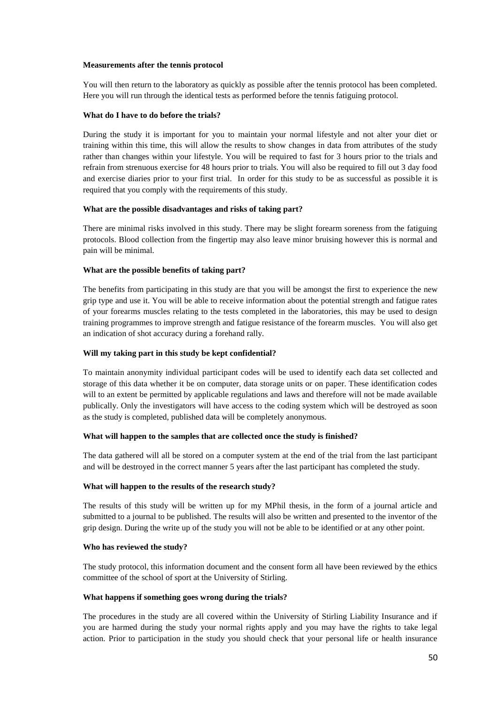#### **Measurements after the tennis protocol**

You will then return to the laboratory as quickly as possible after the tennis protocol has been completed. Here you will run through the identical tests as performed before the tennis fatiguing protocol.

#### **What do I have to do before the trials?**

During the study it is important for you to maintain your normal lifestyle and not alter your diet or training within this time, this will allow the results to show changes in data from attributes of the study rather than changes within your lifestyle. You will be required to fast for 3 hours prior to the trials and refrain from strenuous exercise for 48 hours prior to trials. You will also be required to fill out 3 day food and exercise diaries prior to your first trial. In order for this study to be as successful as possible it is required that you comply with the requirements of this study.

#### **What are the possible disadvantages and risks of taking part?**

There are minimal risks involved in this study. There may be slight forearm soreness from the fatiguing protocols. Blood collection from the fingertip may also leave minor bruising however this is normal and pain will be minimal.

#### **What are the possible benefits of taking part?**

The benefits from participating in this study are that you will be amongst the first to experience the new grip type and use it. You will be able to receive information about the potential strength and fatigue rates of your forearms muscles relating to the tests completed in the laboratories, this may be used to design training programmes to improve strength and fatigue resistance of the forearm muscles. You will also get an indication of shot accuracy during a forehand rally.

#### **Will my taking part in this study be kept confidential?**

To maintain anonymity individual participant codes will be used to identify each data set collected and storage of this data whether it be on computer, data storage units or on paper. These identification codes will to an extent be permitted by applicable regulations and laws and therefore will not be made available publically. Only the investigators will have access to the coding system which will be destroyed as soon as the study is completed, published data will be completely anonymous.

#### **What will happen to the samples that are collected once the study is finished?**

The data gathered will all be stored on a computer system at the end of the trial from the last participant and will be destroyed in the correct manner 5 years after the last participant has completed the study.

#### **What will happen to the results of the research study?**

The results of this study will be written up for my MPhil thesis, in the form of a journal article and submitted to a journal to be published. The results will also be written and presented to the inventor of the grip design. During the write up of the study you will not be able to be identified or at any other point.

#### **Who has reviewed the study?**

The study protocol, this information document and the consent form all have been reviewed by the ethics committee of the school of sport at the University of Stirling.

#### **What happens if something goes wrong during the trials?**

The procedures in the study are all covered within the University of Stirling Liability Insurance and if you are harmed during the study your normal rights apply and you may have the rights to take legal action. Prior to participation in the study you should check that your personal life or health insurance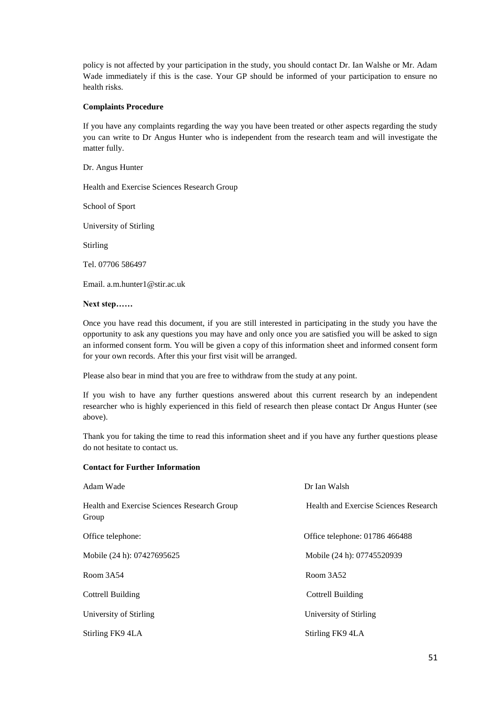policy is not affected by your participation in the study, you should contact Dr. Ian Walshe or Mr. Adam Wade immediately if this is the case. Your GP should be informed of your participation to ensure no health risks.

#### **Complaints Procedure**

If you have any complaints regarding the way you have been treated or other aspects regarding the study you can write to Dr Angus Hunter who is independent from the research team and will investigate the matter fully.

Dr. Angus Hunter

Health and Exercise Sciences Research Group

School of Sport

University of Stirling

Stirling

Tel. 07706 586497

Email. a.m.hunter1@stir.ac.uk

#### **Next step……**

Once you have read this document, if you are still interested in participating in the study you have the opportunity to ask any questions you may have and only once you are satisfied you will be asked to sign an informed consent form. You will be given a copy of this information sheet and informed consent form for your own records. After this your first visit will be arranged.

Please also bear in mind that you are free to withdraw from the study at any point.

If you wish to have any further questions answered about this current research by an independent researcher who is highly experienced in this field of research then please contact Dr Angus Hunter (see above).

Thank you for taking the time to read this information sheet and if you have any further questions please do not hesitate to contact us.

#### **Contact for Further Information**

| Adam Wade                                            | Dr Ian Walsh                          |
|------------------------------------------------------|---------------------------------------|
| Health and Exercise Sciences Research Group<br>Group | Health and Exercise Sciences Research |
| Office telephone:                                    | Office telephone: 01786 466488        |
| Mobile (24 h): 07427695625                           | Mobile (24 h): 07745520939            |
| Room 3A54                                            | Room 3A52                             |
| <b>Cottrell Building</b>                             | Cottrell Building                     |
| University of Stirling                               | University of Stirling                |
| Stirling FK9 4LA                                     | Stirling FK9 4LA                      |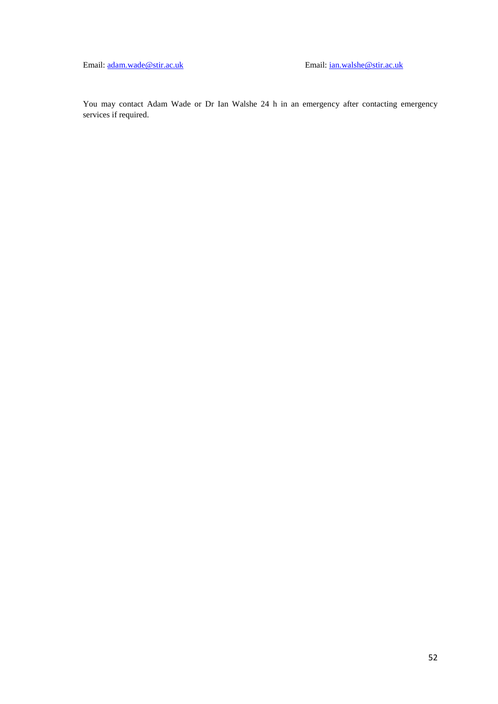Email: [adam.wade@stir.ac.uk](mailto:adam.wade@stir.ac.uk) Email[: ian.walshe@stir.ac.uk](mailto:ian.walshe@stir.ac.uk)

You may contact Adam Wade or Dr Ian Walshe 24 h in an emergency after contacting emergency services if required.